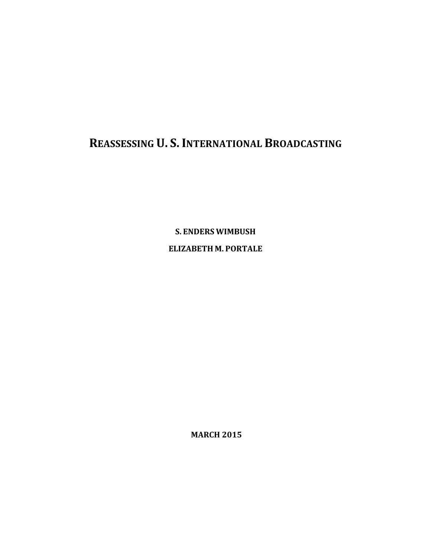# **REASSESSING U. S. INTERNATIONAL BROADCASTING**

**S. ENDERS WIMBUSH ELIZABETH M. PORTALE**

**MARCH 2015**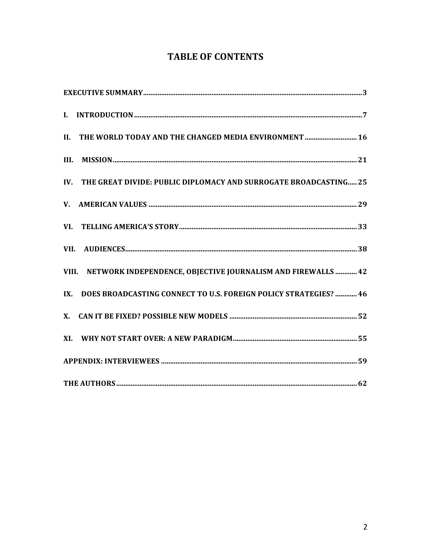# **TABLE OF CONTENTS**

| II. THE WORLD TODAY AND THE CHANGED MEDIA ENVIRONMENT  16               |  |
|-------------------------------------------------------------------------|--|
| III.                                                                    |  |
| THE GREAT DIVIDE: PUBLIC DIPLOMACY AND SURROGATE BROADCASTING 25<br>IV. |  |
|                                                                         |  |
|                                                                         |  |
|                                                                         |  |
| VIII. NETWORK INDEPENDENCE, OBJECTIVE JOURNALISM AND FIREWALLS  42      |  |
| DOES BROADCASTING CONNECT TO U.S. FOREIGN POLICY STRATEGIES?  46<br>IX. |  |
|                                                                         |  |
|                                                                         |  |
|                                                                         |  |
|                                                                         |  |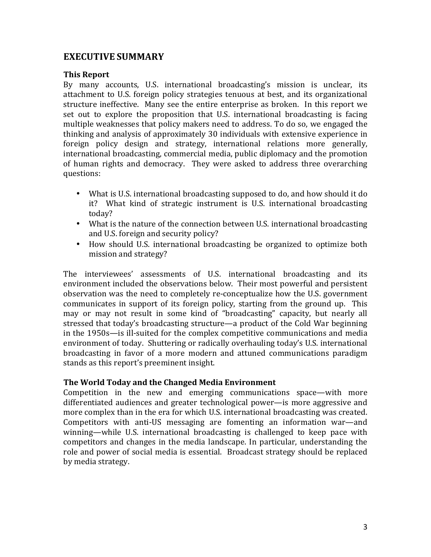### **EXECUTIVE SUMMARY**

#### **This Report**

By many accounts, U.S. international broadcasting's mission is unclear, its attachment to U.S. foreign policy strategies tenuous at best, and its organizational structure ineffective. Many see the entire enterprise as broken. In this report we set out to explore the proposition that U.S. international broadcasting is facing multiple weaknesses that policy makers need to address. To do so, we engaged the thinking and analysis of approximately 30 individuals with extensive experience in foreign policy design and strategy, international relations more generally, international broadcasting, commercial media, public diplomacy and the promotion of human rights and democracy. They were asked to address three overarching questions: 

- What is U.S. international broadcasting supposed to do, and how should it do it? What kind of strategic instrument is U.S. international broadcasting today?
- What is the nature of the connection between U.S. international broadcasting and U.S. foreign and security policy?
- How should U.S. international broadcasting be organized to optimize both mission and strategy?

The interviewees' assessments of U.S. international broadcasting and its environment included the observations below. Their most powerful and persistent observation was the need to completely re-conceptualize how the U.S. government communicates in support of its foreign policy, starting from the ground up. This may or may not result in some kind of "broadcasting" capacity, but nearly all stressed that today's broadcasting structure—a product of the Cold War beginning in the 1950s—is ill-suited for the complex competitive communications and media environment of today. Shuttering or radically overhauling today's U.S. international broadcasting in favor of a more modern and attuned communications paradigm stands as this report's preeminent insight.

#### **The World Today and the Changed Media Environment**

Competition in the new and emerging communications space—with more differentiated audiences and greater technological power—is more aggressive and more complex than in the era for which U.S. international broadcasting was created. Competitors with anti-US messaging are fomenting an information war—and winning—while U.S. international broadcasting is challenged to keep pace with competitors and changes in the media landscape. In particular, understanding the role and power of social media is essential. Broadcast strategy should be replaced by media strategy.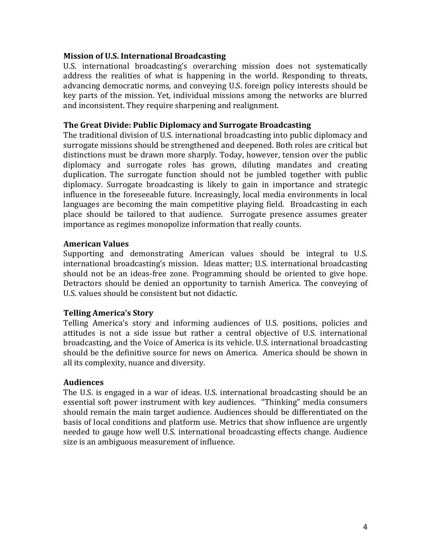#### **Mission of U.S. International Broadcasting**

U.S. international broadcasting's overarching mission does not systematically address the realities of what is happening in the world. Responding to threats, advancing democratic norms, and conveying U.S. foreign policy interests should be key parts of the mission. Yet, individual missions among the networks are blurred and inconsistent. They require sharpening and realignment.

#### **The Great Divide: Public Diplomacy and Surrogate Broadcasting**

The traditional division of U.S. international broadcasting into public diplomacy and surrogate missions should be strengthened and deepened. Both roles are critical but distinctions must be drawn more sharply. Today, however, tension over the public diplomacy and surrogate roles has grown, diluting mandates and creating duplication. The surrogate function should not be jumbled together with public diplomacy. Surrogate broadcasting is likely to gain in importance and strategic influence in the foreseeable future. Increasingly, local media environments in local languages are becoming the main competitive playing field. Broadcasting in each place should be tailored to that audience. Surrogate presence assumes greater importance as regimes monopolize information that really counts.

#### **American Values**

Supporting and demonstrating American values should be integral to U.S. international broadcasting's mission. Ideas matter; U.S. international broadcasting should not be an ideas-free zone. Programming should be oriented to give hope. Detractors should be denied an opportunity to tarnish America. The conveying of U.S. values should be consistent but not didactic.

#### **Telling America's Story**

Telling America's story and informing audiences of U.S. positions, policies and attitudes is not a side issue but rather a central objective of U.S. international broadcasting, and the Voice of America is its vehicle. U.S. international broadcasting should be the definitive source for news on America. America should be shown in all its complexity, nuance and diversity.

#### **Audiences**

The U.S. is engaged in a war of ideas. U.S. international broadcasting should be an essential soft power instrument with key audiences. "Thinking" media consumers should remain the main target audience. Audiences should be differentiated on the basis of local conditions and platform use. Metrics that show influence are urgently needed to gauge how well U.S. international broadcasting effects change. Audience size is an ambiguous measurement of influence.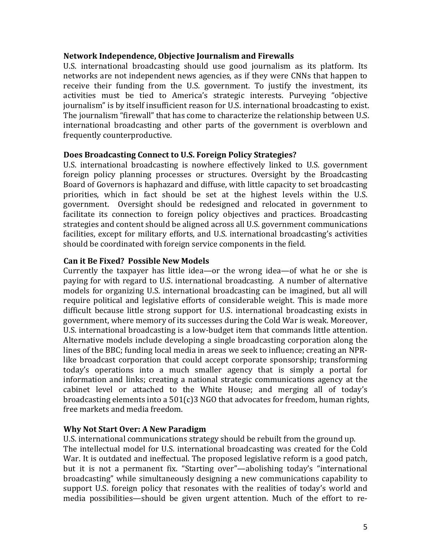#### **Network Independence, Objective Journalism and Firewalls**

U.S. international broadcasting should use good journalism as its platform. Its networks are not independent news agencies, as if they were CNNs that happen to receive their funding from the U.S. government. To justify the investment, its activities must be tied to America's strategic interests. Purveying "objective journalism" is by itself insufficient reason for U.S. international broadcasting to exist. The journalism "firewall" that has come to characterize the relationship between U.S. international broadcasting and other parts of the government is overblown and frequently counterproductive.

#### **Does Broadcasting Connect to U.S. Foreign Policy Strategies?**

U.S. international broadcasting is nowhere effectively linked to U.S. government foreign policy planning processes or structures. Oversight by the Broadcasting Board of Governors is haphazard and diffuse, with little capacity to set broadcasting priorities, which in fact should be set at the highest levels within the U.S. government. Oversight should be redesigned and relocated in government to facilitate its connection to foreign policy objectives and practices. Broadcasting strategies and content should be aligned across all U.S. government communications facilities, except for military efforts, and U.S. international broadcasting's activities should be coordinated with foreign service components in the field.

#### **Can it Be Fixed? Possible New Models**

Currently the taxpayer has little idea—or the wrong idea—of what he or she is paying for with regard to U.S. international broadcasting. A number of alternative models for organizing U.S. international broadcasting can be imagined, but all will require political and legislative efforts of considerable weight. This is made more difficult because little strong support for U.S. international broadcasting exists in government, where memory of its successes during the Cold War is weak. Moreover, U.S. international broadcasting is a low-budget item that commands little attention. Alternative models include developing a single broadcasting corporation along the lines of the BBC; funding local media in areas we seek to influence; creating an NPRlike broadcast corporation that could accept corporate sponsorship; transforming today's operations into a much smaller agency that is simply a portal for information and links; creating a national strategic communications agency at the cabinet level or attached to the White House; and merging all of today's broadcasting elements into a  $501(c)3$  NGO that advocates for freedom, human rights, free markets and media freedom.

#### **Why Not Start Over: A New Paradigm**

U.S. international communications strategy should be rebuilt from the ground up. The intellectual model for U.S. international broadcasting was created for the Cold War. It is outdated and ineffectual. The proposed legislative reform is a good patch, but it is not a permanent fix. "Starting over"—abolishing today's "international broadcasting" while simultaneously designing a new communications capability to support U.S. foreign policy that resonates with the realities of today's world and media possibilities—should be given urgent attention. Much of the effort to re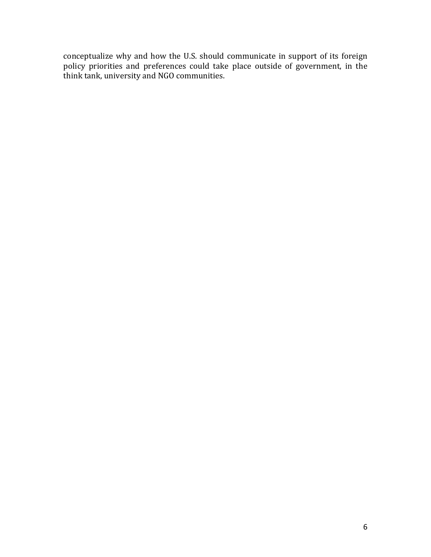conceptualize why and how the U.S. should communicate in support of its foreign policy priorities and preferences could take place outside of government, in the think tank, university and NGO communities.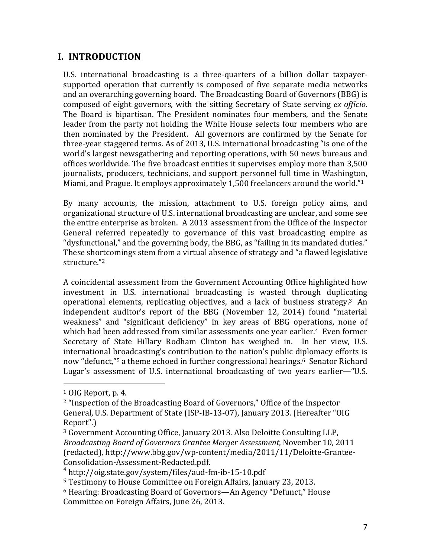# **I. INTRODUCTION**

U.S. international broadcasting is a three-quarters of a billion dollar taxpayersupported operation that currently is composed of five separate media networks and an overarching governing board. The Broadcasting Board of Governors (BBG) is composed of eight governors, with the sitting Secretary of State serving *ex officio*. The Board is bipartisan. The President nominates four members, and the Senate leader from the party not holding the White House selects four members who are then nominated by the President. All governors are confirmed by the Senate for three-year staggered terms. As of 2013, U.S. international broadcasting "is one of the world's largest newsgathering and reporting operations, with 50 news bureaus and offices worldwide. The five broadcast entities it supervises employ more than 3,500 journalists, producers, technicians, and support personnel full time in Washington, Miami, and Prague. It employs approximately  $1,500$  freelancers around the world."<sup>1</sup>

By many accounts, the mission, attachment to U.S. foreign policy aims, and organizational structure of U.S. international broadcasting are unclear, and some see the entire enterprise as broken. A 2013 assessment from the Office of the Inspector General referred repeatedly to governance of this vast broadcasting empire as "dysfunctional," and the governing body, the BBG, as "failing in its mandated duties." These shortcomings stem from a virtual absence of strategy and "a flawed legislative structure."2

A coincidental assessment from the Government Accounting Office highlighted how investment in U.S. international broadcasting is wasted through duplicating operational elements, replicating objectives, and a lack of business strategy.<sup>3</sup> An independent auditor's report of the BBG (November 12, 2014) found "material weakness" and "significant deficiency" in key areas of BBG operations, none of which had been addressed from similar assessments one year earlier.<sup>4</sup> Even former Secretary of State Hillary Rodham Clinton has weighed in. In her view, U.S. international broadcasting's contribution to the nation's public diplomacy efforts is now "defunct,"<sup>5</sup> a theme echoed in further congressional hearings.<sup>6</sup> Senator Richard Lugar's assessment of U.S. international broadcasting of two years earlier—"U.S.

 

 $1$  OIG Report, p. 4.

<sup>&</sup>lt;sup>2</sup> "Inspection of the Broadcasting Board of Governors," Office of the Inspector General, U.S. Department of State (ISP-IB-13-07), January 2013. (Hereafter "OIG Report".)

<sup>&</sup>lt;sup>3</sup> Government Accounting Office, January 2013. Also Deloitte Consulting LLP, *Broadcasting Board of Governors Grantee Merger Assessment*, November 10, 2011 (redacted), http://www.bbg.gov/wp-content/media/2011/11/Deloitte-Grantee-Consolidation-Assessment-Redacted.pdf. <sup>4</sup> http://oig.state.gov/system/files/aud-fm-ib-15-10.pdf

<sup>&</sup>lt;sup>5</sup> Testimony to House Committee on Foreign Affairs, January 23, 2013.

 $6$  Hearing: Broadcasting Board of Governors—An Agency "Defunct." House Committee on Foreign Affairs, June 26, 2013.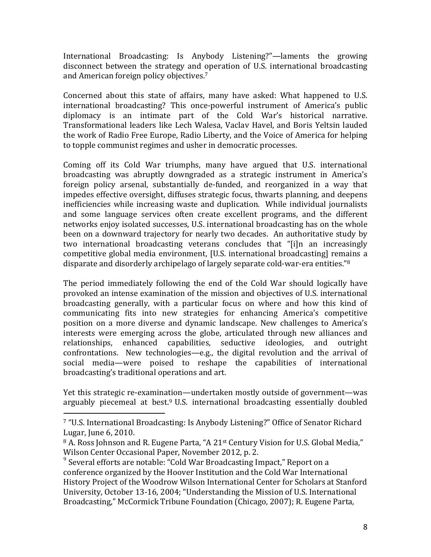International Broadcasting: Is Anybody Listening?"—laments the growing disconnect between the strategy and operation of U.S. international broadcasting and American foreign policy objectives.<sup>7</sup>

Concerned about this state of affairs, many have asked: What happened to U.S. international broadcasting? This once-powerful instrument of America's public diplomacy is an intimate part of the Cold War's historical narrative. Transformational leaders like Lech Walesa, Vaclav Havel, and Boris Yeltsin lauded the work of Radio Free Europe, Radio Liberty, and the Voice of America for helping to topple communist regimes and usher in democratic processes.

Coming off its Cold War triumphs, many have argued that U.S. international broadcasting was abruptly downgraded as a strategic instrument in America's foreign policy arsenal, substantially de-funded, and reorganized in a way that impedes effective oversight, diffuses strategic focus, thwarts planning, and deepens inefficiencies while increasing waste and duplication. While individual journalists and some language services often create excellent programs, and the different networks enjoy isolated successes, U.S. international broadcasting has on the whole been on a downward trajectory for nearly two decades. An authoritative study by two international broadcasting veterans concludes that "[i]n an increasingly competitive global media environment, [U.S. international broadcasting] remains a disparate and disorderly archipelago of largely separate cold-war-era entities."<sup>8</sup>

The period immediately following the end of the Cold War should logically have provoked an intense examination of the mission and objectives of U.S. international broadcasting generally, with a particular focus on where and how this kind of communicating fits into new strategies for enhancing America's competitive position on a more diverse and dynamic landscape. New challenges to America's interests were emerging across the globe, articulated through new alliances and relationships, enhanced capabilities, seductive ideologies, and outright confrontations. New technologies—e.g., the digital revolution and the arrival of social media—were poised to reshape the capabilities of international broadcasting's traditional operations and art.

Yet this strategic re-examination—undertaken mostly outside of government—was arguably piecemeal at best.<sup>9</sup> U.S. international broadcasting essentially doubled

 

<sup>&</sup>lt;sup>7</sup> "U.S. International Broadcasting: Is Anybody Listening?" Office of Senator Richard Lugar, June 6, 2010.

 $8$  A. Ross Johnson and R. Eugene Parta, "A 21 $st$  Century Vision for U.S. Global Media," Wilson Center Occasional Paper, November 2012, p. 2.

 $9$  Several efforts are notable: "Cold War Broadcasting Impact," Report on a conference organized by the Hoover Institution and the Cold War International History Project of the Woodrow Wilson International Center for Scholars at Stanford University, October 13-16, 2004: "Understanding the Mission of U.S. International Broadcasting," McCormick Tribune Foundation (Chicago, 2007); R. Eugene Parta,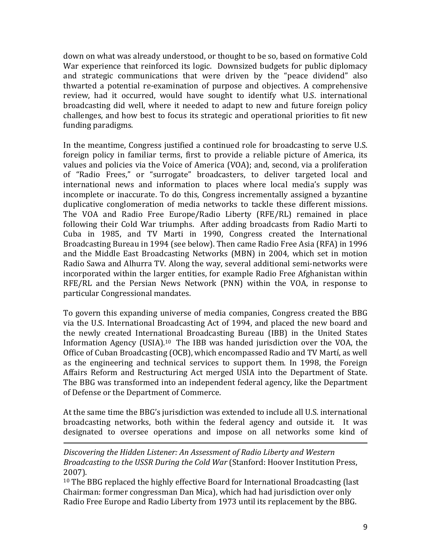down on what was already understood, or thought to be so, based on formative Cold War experience that reinforced its logic. Downsized budgets for public diplomacy and strategic communications that were driven by the "peace dividend" also thwarted a potential re-examination of purpose and objectives. A comprehensive review, had it occurred, would have sought to identify what U.S. international broadcasting did well, where it needed to adapt to new and future foreign policy challenges, and how best to focus its strategic and operational priorities to fit new funding paradigms.

In the meantime, Congress justified a continued role for broadcasting to serve U.S. foreign policy in familiar terms, first to provide a reliable picture of America, its values and policies via the Voice of America (VOA); and, second, via a proliferation of "Radio Frees," or "surrogate" broadcasters, to deliver targeted local and international news and information to places where local media's supply was incomplete or inaccurate. To do this, Congress incrementally assigned a byzantine duplicative conglomeration of media networks to tackle these different missions. The VOA and Radio Free Europe/Radio Liberty (RFE/RL) remained in place following their Cold War triumphs. After adding broadcasts from Radio Marti to Cuba in 1985, and TV Marti in 1990, Congress created the International Broadcasting Bureau in 1994 (see below). Then came Radio Free Asia (RFA) in 1996 and the Middle East Broadcasting Networks (MBN) in 2004, which set in motion Radio Sawa and Alhurra TV. Along the way, several additional semi-networks were incorporated within the larger entities, for example Radio Free Afghanistan within RFE/RL and the Persian News Network (PNN) within the VOA, in response to particular Congressional mandates.

To govern this expanding universe of media companies, Congress created the BBG via the U.S. International Broadcasting Act of 1994, and placed the new board and the newly created International Broadcasting Bureau (IBB) in the United States Information Agency (USIA).<sup>10</sup> The IBB was handed jurisdiction over the VOA, the Office of Cuban Broadcasting (OCB), which encompassed Radio and TV Martí, as well as the engineering and technical services to support them. In 1998, the Foreign Affairs Reform and Restructuring Act merged USIA into the Department of State. The BBG was transformed into an independent federal agency, like the Department of Defense or the Department of Commerce.

At the same time the BBG's jurisdiction was extended to include all U.S. international broadcasting networks, both within the federal agency and outside it. It was designated to oversee operations and impose on all networks some kind of

<u> Alexandria de la contrada de la contrada de la contrada de la contrada de la contrada de la contrada de la c</u>

Discovering the Hidden Listener: An Assessment of Radio Liberty and Western *Broadcasting to the USSR During the Cold War* (Stanford: Hoover Institution Press, 2007).

 $10$  The BBG replaced the highly effective Board for International Broadcasting (last Chairman: former congressman Dan Mica), which had had jurisdiction over only Radio Free Europe and Radio Liberty from 1973 until its replacement by the BBG.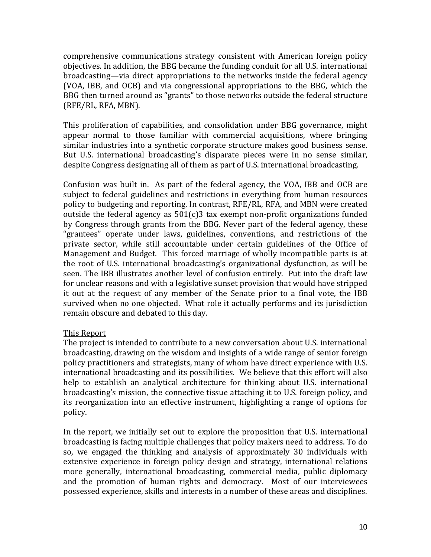comprehensive communications strategy consistent with American foreign policy objectives. In addition, the BBG became the funding conduit for all U.S. international broadcasting—via direct appropriations to the networks inside the federal agency (VOA, IBB, and OCB) and via congressional appropriations to the BBG, which the BBG then turned around as "grants" to those networks outside the federal structure (RFE/RL, RFA, MBN).

This proliferation of capabilities, and consolidation under BBG governance, might appear normal to those familiar with commercial acquisitions, where bringing similar industries into a synthetic corporate structure makes good business sense. But U.S. international broadcasting's disparate pieces were in no sense similar, despite Congress designating all of them as part of U.S. international broadcasting.

Confusion was built in. As part of the federal agency, the VOA, IBB and OCB are subject to federal guidelines and restrictions in everything from human resources policy to budgeting and reporting. In contrast, RFE/RL, RFA, and MBN were created outside the federal agency as  $501(c)3$  tax exempt non-profit organizations funded by Congress through grants from the BBG. Never part of the federal agency, these "grantees" operate under laws, guidelines, conventions, and restrictions of the private sector, while still accountable under certain guidelines of the Office of Management and Budget. This forced marriage of wholly incompatible parts is at the root of U.S. international broadcasting's organizational dysfunction, as will be seen. The IBB illustrates another level of confusion entirely. Put into the draft law for unclear reasons and with a legislative sunset provision that would have stripped it out at the request of any member of the Senate prior to a final vote, the IBB survived when no one objected. What role it actually performs and its jurisdiction remain obscure and debated to this day.

#### This Report

The project is intended to contribute to a new conversation about U.S. international broadcasting, drawing on the wisdom and insights of a wide range of senior foreign policy practitioners and strategists, many of whom have direct experience with U.S. international broadcasting and its possibilities. We believe that this effort will also help to establish an analytical architecture for thinking about U.S. international broadcasting's mission, the connective tissue attaching it to U.S. foreign policy, and its reorganization into an effective instrument, highlighting a range of options for policy.

In the report, we initially set out to explore the proposition that U.S. international broadcasting is facing multiple challenges that policy makers need to address. To do so, we engaged the thinking and analysis of approximately 30 individuals with extensive experience in foreign policy design and strategy, international relations more generally, international broadcasting, commercial media, public diplomacy and the promotion of human rights and democracy. Most of our interviewees possessed experience, skills and interests in a number of these areas and disciplines.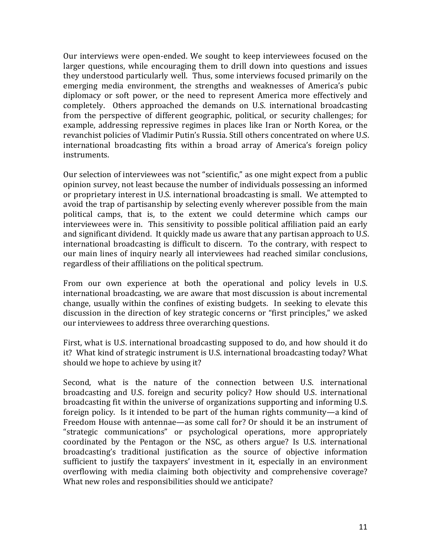Our interviews were open-ended. We sought to keep interviewees focused on the larger questions, while encouraging them to drill down into questions and issues they understood particularly well. Thus, some interviews focused primarily on the emerging media environment, the strengths and weaknesses of America's pubic diplomacy or soft power, or the need to represent America more effectively and completely. Others approached the demands on U.S. international broadcasting from the perspective of different geographic, political, or security challenges; for example, addressing repressive regimes in places like Iran or North Korea, or the revanchist policies of Vladimir Putin's Russia. Still others concentrated on where U.S. international broadcasting fits within a broad array of America's foreign policy instruments.

Our selection of interviewees was not "scientific," as one might expect from a public opinion survey, not least because the number of individuals possessing an informed or proprietary interest in U.S. international broadcasting is small. We attempted to avoid the trap of partisanship by selecting evenly wherever possible from the main political camps, that is, to the extent we could determine which camps our interviewees were in. This sensitivity to possible political affiliation paid an early and significant dividend. It quickly made us aware that any partisan approach to U.S. international broadcasting is difficult to discern. To the contrary, with respect to our main lines of inquiry nearly all interviewees had reached similar conclusions, regardless of their affiliations on the political spectrum.

From our own experience at both the operational and policy levels in U.S. international broadcasting, we are aware that most discussion is about incremental change, usually within the confines of existing budgets. In seeking to elevate this discussion in the direction of key strategic concerns or "first principles," we asked our interviewees to address three overarching questions.

First, what is U.S. international broadcasting supposed to do, and how should it do it? What kind of strategic instrument is U.S. international broadcasting today? What should we hope to achieve by using it?

Second, what is the nature of the connection between U.S. international broadcasting and U.S. foreign and security policy? How should U.S. international broadcasting fit within the universe of organizations supporting and informing U.S. foreign policy. Is it intended to be part of the human rights community—a kind of Freedom House with antennae—as some call for? Or should it be an instrument of "strategic communications" or psychological operations, more appropriately coordinated by the Pentagon or the NSC, as others argue? Is U.S. international broadcasting's traditional justification as the source of objective information sufficient to justify the taxpayers' investment in it, especially in an environment overflowing with media claiming both objectivity and comprehensive coverage? What new roles and responsibilities should we anticipate?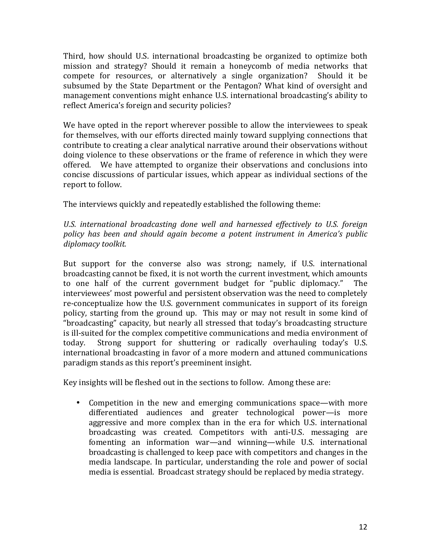Third, how should U.S. international broadcasting be organized to optimize both mission and strategy? Should it remain a honeycomb of media networks that compete for resources, or alternatively a single organization? Should it be subsumed by the State Department or the Pentagon? What kind of oversight and management conventions might enhance U.S. international broadcasting's ability to reflect America's foreign and security policies?

We have opted in the report wherever possible to allow the interviewees to speak for themselves, with our efforts directed mainly toward supplying connections that contribute to creating a clear analytical narrative around their observations without doing violence to these observations or the frame of reference in which they were offered. We have attempted to organize their observations and conclusions into concise discussions of particular issues, which appear as individual sections of the report to follow.

The interviews quickly and repeatedly established the following theme:

U.S. international broadcasting done well and harnessed effectively to U.S. foreign *policy has been and should again become a potent instrument in America's public diplomacy toolkit.*

But support for the converse also was strong; namely, if U.S. international broadcasting cannot be fixed, it is not worth the current investment, which amounts to one half of the current government budget for "public diplomacy." The interviewees' most powerful and persistent observation was the need to completely re-conceptualize how the U.S. government communicates in support of its foreign policy, starting from the ground up. This may or may not result in some kind of "broadcasting" capacity, but nearly all stressed that today's broadcasting structure is ill-suited for the complex competitive communications and media environment of today. Strong support for shuttering or radically overhauling today's U.S. international broadcasting in favor of a more modern and attuned communications paradigm stands as this report's preeminent insight.

Key insights will be fleshed out in the sections to follow. Among these are:

• Competition in the new and emerging communications space—with more differentiated audiences and greater technological power—is more aggressive and more complex than in the era for which U.S. international broadcasting was created. Competitors with anti-U.S. messaging are fomenting an information war—and winning—while U.S. international broadcasting is challenged to keep pace with competitors and changes in the media landscape. In particular, understanding the role and power of social media is essential. Broadcast strategy should be replaced by media strategy.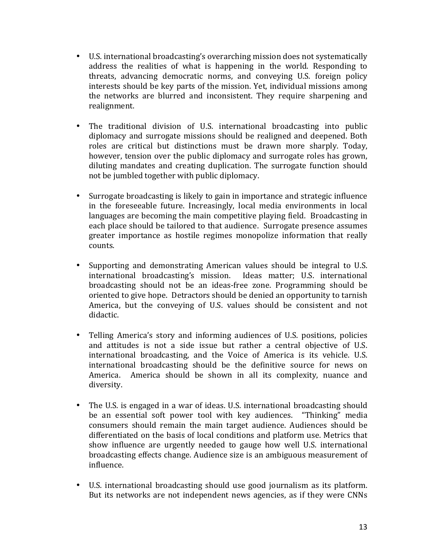- U.S. international broadcasting's overarching mission does not systematically address the realities of what is happening in the world. Responding to threats, advancing democratic norms, and conveying U.S. foreign policy interests should be key parts of the mission. Yet, individual missions among the networks are blurred and inconsistent. They require sharpening and realignment.
- The traditional division of U.S. international broadcasting into public diplomacy and surrogate missions should be realigned and deepened. Both roles are critical but distinctions must be drawn more sharply. Today, however, tension over the public diplomacy and surrogate roles has grown, diluting mandates and creating duplication. The surrogate function should not be jumbled together with public diplomacy.
- Surrogate broadcasting is likely to gain in importance and strategic influence in the foreseeable future. Increasingly, local media environments in local languages are becoming the main competitive playing field. Broadcasting in each place should be tailored to that audience. Surrogate presence assumes greater importance as hostile regimes monopolize information that really counts.
- Supporting and demonstrating American values should be integral to U.S. international broadcasting's mission. Ideas matter; U.S. international broadcasting should not be an ideas-free zone. Programming should be oriented to give hope. Detractors should be denied an opportunity to tarnish America, but the conveying of U.S. values should be consistent and not didactic.
- Telling America's story and informing audiences of U.S. positions, policies and attitudes is not a side issue but rather a central objective of U.S. international broadcasting, and the Voice of America is its vehicle. U.S. international broadcasting should be the definitive source for news on America. America should be shown in all its complexity, nuance and diversity.
- The U.S. is engaged in a war of ideas. U.S. international broadcasting should be an essential soft power tool with key audiences. "Thinking" media consumers should remain the main target audience. Audiences should be differentiated on the basis of local conditions and platform use. Metrics that show influence are urgently needed to gauge how well U.S. international broadcasting effects change. Audience size is an ambiguous measurement of influence.
- U.S. international broadcasting should use good journalism as its platform. But its networks are not independent news agencies, as if they were CNNs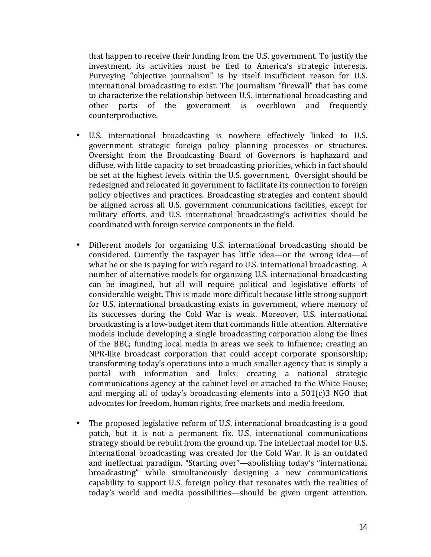that happen to receive their funding from the U.S. government. To justify the investment, its activities must be tied to America's strategic interests. Purveying "objective journalism" is by itself insufficient reason for U.S. international broadcasting to exist. The journalism "firewall" that has come to characterize the relationship between U.S. international broadcasting and other parts of the government is overblown and frequently counterproductive.

- U.S. international broadcasting is nowhere effectively linked to U.S. government strategic foreign policy planning processes or structures. Oversight from the Broadcasting Board of Governors is haphazard and diffuse, with little capacity to set broadcasting priorities, which in fact should be set at the highest levels within the U.S. government. Oversight should be redesigned and relocated in government to facilitate its connection to foreign policy objectives and practices. Broadcasting strategies and content should be aligned across all U.S. government communications facilities, except for military efforts, and U.S. international broadcasting's activities should be coordinated with foreign service components in the field.
- Different models for organizing U.S. international broadcasting should be considered. Currently the taxpayer has little idea—or the wrong idea—of what he or she is paying for with regard to U.S. international broadcasting. A number of alternative models for organizing U.S. international broadcasting can be imagined, but all will require political and legislative efforts of considerable weight. This is made more difficult because little strong support for U.S. international broadcasting exists in government, where memory of its successes during the Cold War is weak. Moreover, U.S. international broadcasting is a low-budget item that commands little attention. Alternative models include developing a single broadcasting corporation along the lines of the BBC; funding local media in areas we seek to influence; creating an NPR-like broadcast corporation that could accept corporate sponsorship; transforming today's operations into a much smaller agency that is simply a portal with information and links; creating a national strategic communications agency at the cabinet level or attached to the White House; and merging all of today's broadcasting elements into a  $501(c)3$  NGO that advocates for freedom, human rights, free markets and media freedom.
- The proposed legislative reform of U.S. international broadcasting is a good patch, but it is not a permanent fix. U.S. international communications strategy should be rebuilt from the ground up. The intellectual model for U.S. international broadcasting was created for the Cold War. It is an outdated and ineffectual paradigm. "Starting over"—abolishing today's "international broadcasting" while simultaneously designing a new communications capability to support U.S. foreign policy that resonates with the realities of today's world and media possibilities—should be given urgent attention.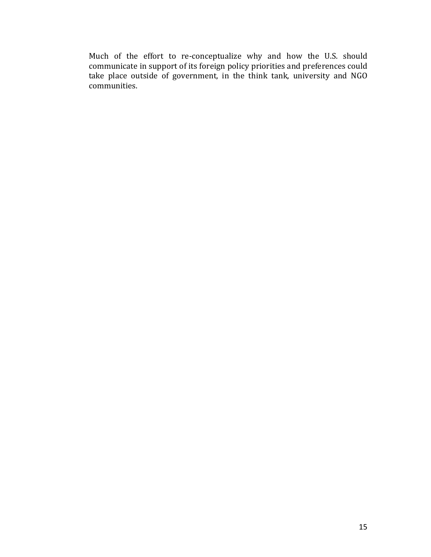Much of the effort to re-conceptualize why and how the U.S. should communicate in support of its foreign policy priorities and preferences could take place outside of government, in the think tank, university and NGO communities.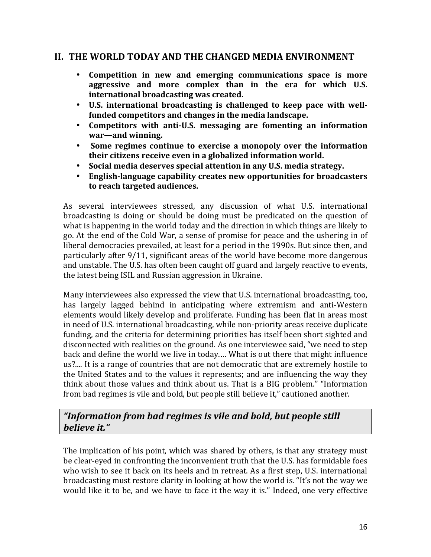### **II. THE WORLD TODAY AND THE CHANGED MEDIA ENVIRONMENT**

- **Competition in new and emerging communications space is more**  aggressive and more complex than in the era for which U.S. **international broadcasting was created.**
- U.S. international broadcasting is challenged to keep pace with well**funded competitors and changes in the media landscape.**
- Competitors with anti-U.S. messaging are fomenting an information **war—and winning.**
- Some regimes continue to exercise a monopoly over the information **their citizens receive even in a globalized information world.**
- Social media deserves special attention in any U.S. media strategy.
- English-language capability creates new opportunities for broadcasters to reach targeted audiences.

As several interviewees stressed, any discussion of what U.S. international broadcasting is doing or should be doing must be predicated on the question of what is happening in the world today and the direction in which things are likely to go. At the end of the Cold War, a sense of promise for peace and the ushering in of liberal democracies prevailed, at least for a period in the 1990s. But since then, and particularly after 9/11, significant areas of the world have become more dangerous and unstable. The U.S. has often been caught off guard and largely reactive to events, the latest being ISIL and Russian aggression in Ukraine.

Many interviewees also expressed the view that U.S. international broadcasting, too, has largely lagged behind in anticipating where extremism and anti-Western elements would likely develop and proliferate. Funding has been flat in areas most in need of U.S. international broadcasting, while non-priority areas receive duplicate funding, and the criteria for determining priorities has itself been short sighted and disconnected with realities on the ground. As one interviewee said, "we need to step back and define the world we live in today.... What is out there that might influence us?.... It is a range of countries that are not democratic that are extremely hostile to the United States and to the values it represents; and are influencing the way they think about those values and think about us. That is a BIG problem." "Information from bad regimes is vile and bold, but people still believe it," cautioned another.

# "Information from bad regimes is vile and bold, but people still *believe it."*

The implication of his point, which was shared by others, is that any strategy must be clear-eyed in confronting the inconvenient truth that the U.S. has formidable foes who wish to see it back on its heels and in retreat. As a first step, U.S. international broadcasting must restore clarity in looking at how the world is. "It's not the way we would like it to be, and we have to face it the way it is." Indeed, one very effective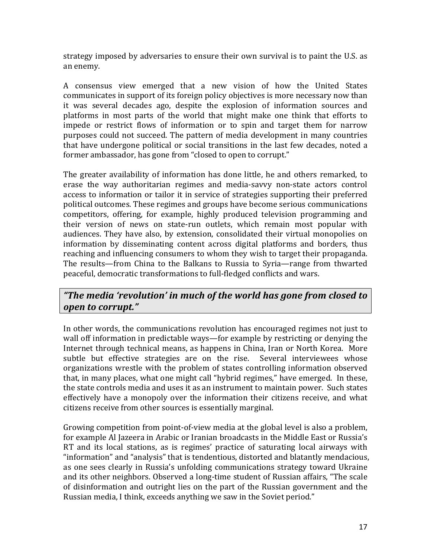strategy imposed by adversaries to ensure their own survival is to paint the U.S. as an enemy. 

A consensus view emerged that a new vision of how the United States communicates in support of its foreign policy objectives is more necessary now than it was several decades ago, despite the explosion of information sources and platforms in most parts of the world that might make one think that efforts to impede or restrict flows of information or to spin and target them for narrow purposes could not succeed. The pattern of media development in many countries that have undergone political or social transitions in the last few decades, noted a former ambassador, has gone from "closed to open to corrupt."

The greater availability of information has done little, he and others remarked, to erase the way authoritarian regimes and media-savvy non-state actors control access to information or tailor it in service of strategies supporting their preferred political outcomes. These regimes and groups have become serious communications competitors, offering, for example, highly produced television programming and their version of news on state-run outlets, which remain most popular with audiences. They have also, by extension, consolidated their virtual monopolies on information by disseminating content across digital platforms and borders, thus reaching and influencing consumers to whom they wish to target their propaganda. The results—from China to the Balkans to Russia to Syria—range from thwarted peaceful, democratic transformations to full-fledged conflicts and wars.

# *"The media 'revolution' in much of the world has gone from closed to open to corrupt."*

In other words, the communications revolution has encouraged regimes not just to wall off information in predictable ways—for example by restricting or denying the Internet through technical means, as happens in China, Iran or North Korea. More subtle but effective strategies are on the rise. Several interviewees whose organizations wrestle with the problem of states controlling information observed that, in many places, what one might call "hybrid regimes," have emerged. In these, the state controls media and uses it as an instrument to maintain power. Such states effectively have a monopoly over the information their citizens receive, and what citizens receive from other sources is essentially marginal.

Growing competition from point-of-view media at the global level is also a problem, for example Al Jazeera in Arabic or Iranian broadcasts in the Middle East or Russia's RT and its local stations, as is regimes' practice of saturating local airways with "information" and "analysis" that is tendentious, distorted and blatantly mendacious, as one sees clearly in Russia's unfolding communications strategy toward Ukraine and its other neighbors. Observed a long-time student of Russian affairs, "The scale of disinformation and outright lies on the part of the Russian government and the Russian media, I think, exceeds anything we saw in the Soviet period."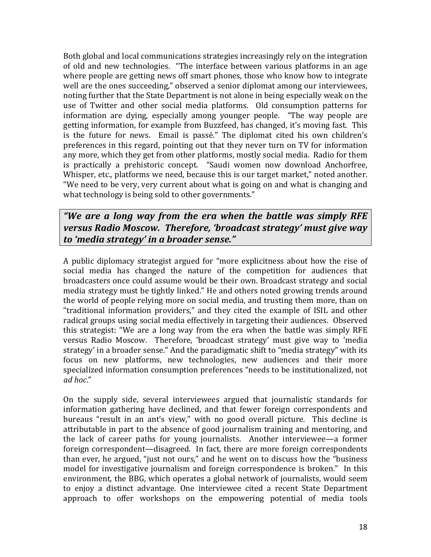Both global and local communications strategies increasingly rely on the integration of old and new technologies. "The interface between various platforms in an age where people are getting news off smart phones, those who know how to integrate well are the ones succeeding," observed a senior diplomat among our interviewees, noting further that the State Department is not alone in being especially weak on the use of Twitter and other social media platforms. Old consumption patterns for information are dying, especially among younger people. "The way people are getting information, for example from Buzzfeed, has changed, it's moving fast. This is the future for news. Email is passé." The diplomat cited his own children's preferences in this regard, pointing out that they never turn on TV for information any more, which they get from other platforms, mostly social media. Radio for them is practically a prehistoric concept. "Saudi women now download Anchorfree, Whisper, etc., platforms we need, because this is our target market," noted another. "We need to be very, very current about what is going on and what is changing and what technology is being sold to other governments."

*"We are a long way from the era when the battle was simply RFE versus Radio Moscow. Therefore, 'broadcast strategy' must give way to 'media strategy' in a broader sense."*

A public diplomacy strategist argued for "more explicitness about how the rise of social media has changed the nature of the competition for audiences that broadcasters once could assume would be their own. Broadcast strategy and social media strategy must be tightly linked." He and others noted growing trends around the world of people relying more on social media, and trusting them more, than on "traditional information providers," and they cited the example of ISIL and other radical groups using social media effectively in targeting their audiences. Observed this strategist: "We are a long way from the era when the battle was simply RFE versus Radio Moscow. Therefore, 'broadcast strategy' must give way to 'media strategy' in a broader sense." And the paradigmatic shift to "media strategy" with its focus on new platforms, new technologies, new audiences and their more specialized information consumption preferences "needs to be institutionalized, not *ad hoc*."

On the supply side, several interviewees argued that journalistic standards for information gathering have declined, and that fewer foreign correspondents and bureaus "result in an ant's view," with no good overall picture. This decline is attributable in part to the absence of good journalism training and mentoring, and the lack of career paths for young journalists. Another interviewee—a former foreign correspondent—disagreed. In fact, there are more foreign correspondents than ever, he argued, "just not ours," and he went on to discuss how the "business model for investigative iournalism and foreign correspondence is broken." In this environment, the BBG, which operates a global network of journalists, would seem to enjoy a distinct advantage. One interviewee cited a recent State Department approach to offer workshops on the empowering potential of media tools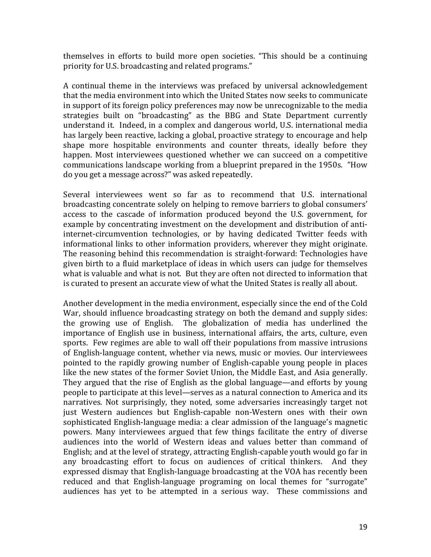themselves in efforts to build more open societies. "This should be a continuing priority for U.S. broadcasting and related programs."

A continual theme in the interviews was prefaced by universal acknowledgement that the media environment into which the United States now seeks to communicate in support of its foreign policy preferences may now be unrecognizable to the media strategies built on "broadcasting" as the BBG and State Department currently understand it. Indeed, in a complex and dangerous world, U.S. international media has largely been reactive, lacking a global, proactive strategy to encourage and help shape more hospitable environments and counter threats, ideally before they happen. Most interviewees questioned whether we can succeed on a competitive communications landscape working from a blueprint prepared in the 1950s. "How do you get a message across?" was asked repeatedly.

Several interviewees went so far as to recommend that U.S. international broadcasting concentrate solely on helping to remove barriers to global consumers' access to the cascade of information produced beyond the U.S. government, for example by concentrating investment on the development and distribution of antiinternet-circumvention technologies, or by having dedicated Twitter feeds with informational links to other information providers, wherever they might originate. The reasoning behind this recommendation is straight-forward: Technologies have given birth to a fluid marketplace of ideas in which users can judge for themselves what is valuable and what is not. But they are often not directed to information that is curated to present an accurate view of what the United States is really all about.

Another development in the media environment, especially since the end of the Cold War, should influence broadcasting strategy on both the demand and supply sides: the growing use of English. The globalization of media has underlined the importance of English use in business, international affairs, the arts, culture, even sports. Few regimes are able to wall off their populations from massive intrusions of English-language content, whether via news, music or movies. Our interviewees pointed to the rapidly growing number of English-capable young people in places like the new states of the former Soviet Union, the Middle East, and Asia generally. They argued that the rise of English as the global language—and efforts by young people to participate at this level—serves as a natural connection to America and its narratives. Not surprisingly, they noted, some adversaries increasingly target not just Western audiences but English-capable non-Western ones with their own sophisticated English-language media: a clear admission of the language's magnetic powers. Many interviewees argued that few things facilitate the entry of diverse audiences into the world of Western ideas and values better than command of English; and at the level of strategy, attracting English-capable youth would go far in any broadcasting effort to focus on audiences of critical thinkers. And they expressed dismay that English-language broadcasting at the VOA has recently been reduced and that English-language programing on local themes for "surrogate" audiences has yet to be attempted in a serious way. These commissions and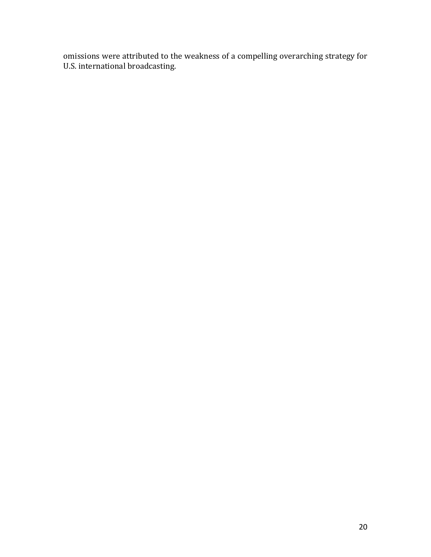omissions were attributed to the weakness of a compelling overarching strategy for U.S. international broadcasting.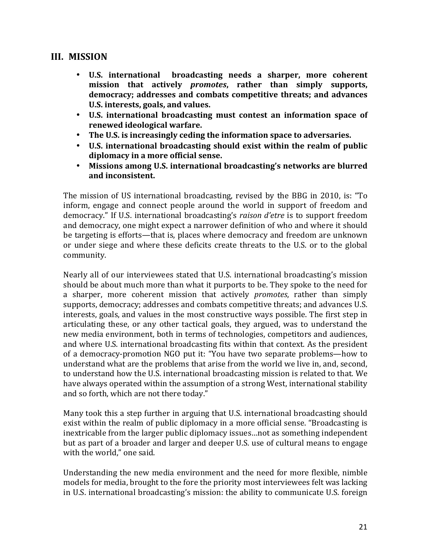### **III. MISSION**

- **U.S. international broadcasting needs a sharper, more coherent**  mission that actively *promotes*, rather than simply supports, democracy; addresses and combats competitive threats; and advances U.S. interests, goals, and values.
- U.S. international broadcasting must contest an information space of **renewed ideological warfare.**
- The U.S. is increasingly ceding the information space to adversaries.
- U.S. international broadcasting should exist within the realm of public diplomacy in a more official sense.
- Missions among U.S. international broadcasting's networks are blurred and inconsistent.

The mission of US international broadcasting, revised by the BBG in 2010, is: "To inform, engage and connect people around the world in support of freedom and democracy." If U.S. international broadcasting's *raison d'etre* is to support freedom and democracy, one might expect a narrower definition of who and where it should be targeting is efforts—that is, places where democracy and freedom are unknown or under siege and where these deficits create threats to the U.S. or to the global community.

Nearly all of our interviewees stated that U.S. international broadcasting's mission should be about much more than what it purports to be. They spoke to the need for a sharper, more coherent mission that actively *promotes*, rather than simply supports, democracy; addresses and combats competitive threats; and advances U.S. interests, goals, and values in the most constructive ways possible. The first step in articulating these, or any other tactical goals, they argued, was to understand the new media environment, both in terms of technologies, competitors and audiences, and where U.S. international broadcasting fits within that context. As the president of a democracy-promotion NGO put it: "You have two separate problems—how to understand what are the problems that arise from the world we live in, and, second, to understand how the U.S. international broadcasting mission is related to that. We have always operated within the assumption of a strong West, international stability and so forth, which are not there today."

Many took this a step further in arguing that U.S. international broadcasting should exist within the realm of public diplomacy in a more official sense. "Broadcasting is inextricable from the larger public diplomacy issues...not as something independent but as part of a broader and larger and deeper U.S. use of cultural means to engage with the world," one said.

Understanding the new media environment and the need for more flexible, nimble models for media, brought to the fore the priority most interviewees felt was lacking in U.S. international broadcasting's mission: the ability to communicate U.S. foreign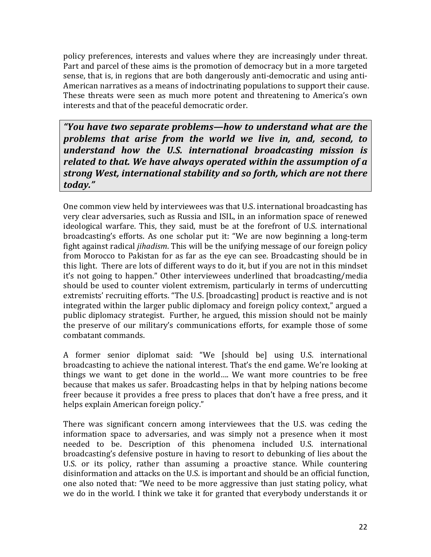policy preferences, interests and values where they are increasingly under threat. Part and parcel of these aims is the promotion of democracy but in a more targeted sense, that is, in regions that are both dangerously anti-democratic and using anti-American narratives as a means of indoctrinating populations to support their cause. These threats were seen as much more potent and threatening to America's own interests and that of the peaceful democratic order.

*"You have two separate problems—how to understand what are the problems that arise from the world we live in, and, second, to understand how the U.S. international broadcasting mission is related to that. We have always operated within the assumption of a strong West, international stability and so forth, which are not there today."*

One common view held by interviewees was that U.S. international broadcasting has very clear adversaries, such as Russia and ISIL, in an information space of renewed ideological warfare. This, they said, must be at the forefront of U.S. international broadcasting's efforts. As one scholar put it: "We are now beginning a long-term fight against radical *jihadism*. This will be the unifying message of our foreign policy from Morocco to Pakistan for as far as the eve can see. Broadcasting should be in this light. There are lots of different ways to do it, but if you are not in this mindset it's not going to happen." Other interviewees underlined that broadcasting/media should be used to counter violent extremism, particularly in terms of undercutting extremists' recruiting efforts. "The U.S. [broadcasting] product is reactive and is not integrated within the larger public diplomacy and foreign policy context," argued a public diplomacy strategist. Further, he argued, this mission should not be mainly the preserve of our military's communications efforts, for example those of some combatant commands.

A former senior diplomat said: "We [should be] using U.S. international broadcasting to achieve the national interest. That's the end game. We're looking at things we want to get done in the world.... We want more countries to be free because that makes us safer. Broadcasting helps in that by helping nations become freer because it provides a free press to places that don't have a free press, and it helps explain American foreign policy."

There was significant concern among interviewees that the U.S. was ceding the information space to adversaries, and was simply not a presence when it most needed to be. Description of this phenomena included U.S. international broadcasting's defensive posture in having to resort to debunking of lies about the U.S. or its policy, rather than assuming a proactive stance. While countering disinformation and attacks on the U.S. is important and should be an official function, one also noted that: "We need to be more aggressive than just stating policy, what we do in the world. I think we take it for granted that everybody understands it or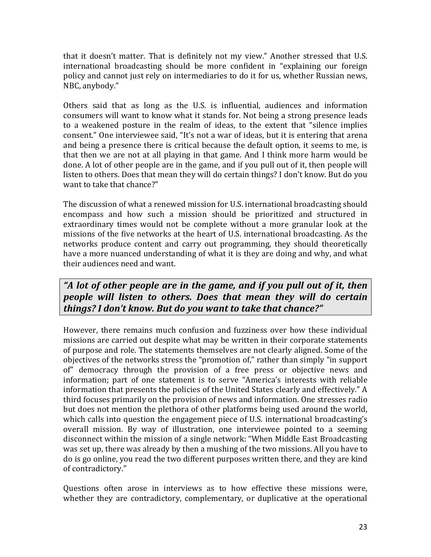that it doesn't matter. That is definitely not my view." Another stressed that U.S. international broadcasting should be more confident in "explaining our foreign policy and cannot just rely on intermediaries to do it for us, whether Russian news, NBC, anybody."

Others said that as long as the U.S. is influential, audiences and information consumers will want to know what it stands for. Not being a strong presence leads to a weakened posture in the realm of ideas, to the extent that "silence implies consent." One interviewee said, "It's not a war of ideas, but it is entering that arena and being a presence there is critical because the default option, it seems to me, is that then we are not at all playing in that game. And I think more harm would be done. A lot of other people are in the game, and if you pull out of it, then people will listen to others. Does that mean they will do certain things? I don't know. But do you want to take that chance?"

The discussion of what a renewed mission for U.S. international broadcasting should encompass and how such a mission should be prioritized and structured in extraordinary times would not be complete without a more granular look at the missions of the five networks at the heart of U.S. international broadcasting. As the networks produce content and carry out programming, they should theoretically have a more nuanced understanding of what it is they are doing and why, and what their audiences need and want.

# *"A lot of other people are in the game, and if you pull out of it, then people will listen to others. Does that mean they will do certain things? I don't know. But do you want to take that chance?"*

However, there remains much confusion and fuzziness over how these individual missions are carried out despite what may be written in their corporate statements of purpose and role. The statements themselves are not clearly aligned. Some of the objectives of the networks stress the "promotion of," rather than simply "in support of" democracy through the provision of a free press or objective news and information; part of one statement is to serve "America's interests with reliable information that presents the policies of the United States clearly and effectively." A third focuses primarily on the provision of news and information. One stresses radio but does not mention the plethora of other platforms being used around the world, which calls into question the engagement piece of U.S. international broadcasting's overall mission. By way of illustration, one interviewee pointed to a seeming disconnect within the mission of a single network: "When Middle East Broadcasting was set up, there was already by then a mushing of the two missions. All you have to do is go online, you read the two different purposes written there, and they are kind of contradictory."

Questions often arose in interviews as to how effective these missions were, whether they are contradictory, complementary, or duplicative at the operational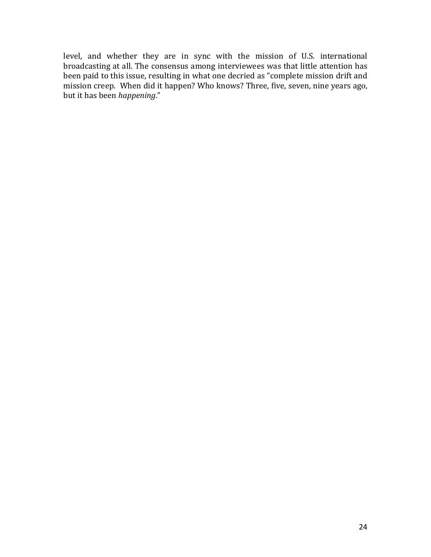level, and whether they are in sync with the mission of U.S. international broadcasting at all. The consensus among interviewees was that little attention has been paid to this issue, resulting in what one decried as "complete mission drift and mission creep. When did it happen? Who knows? Three, five, seven, nine years ago, but it has been *happening*."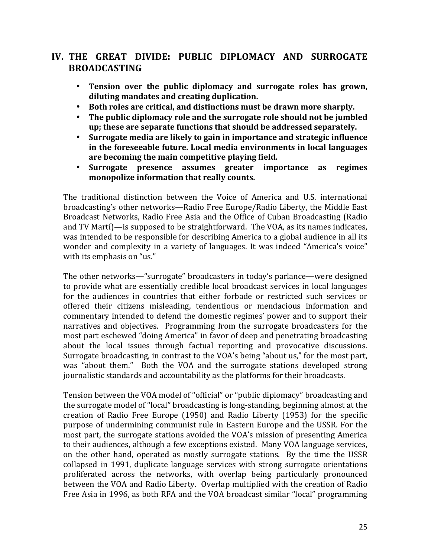# IV. THE GREAT DIVIDE: PUBLIC DIPLOMACY AND SURROGATE **BROADCASTING**

- Tension over the public diplomacy and surrogate roles has grown, **diluting mandates and creating duplication.**
- Both roles are critical, and distinctions must be drawn more sharply.
- The public diplomacy role and the surrogate role should not be jumbled up; these are separate functions that should be addressed separately.
- Surrogate media are likely to gain in importance and strategic influence in the foreseeable future. Local media environments in local languages are becoming the main competitive playing field.
- Surrogate presence assumes greater importance as regimes monopolize information that really counts.

The traditional distinction between the Voice of America and U.S. international broadcasting's other networks—Radio Free Europe/Radio Liberty, the Middle East Broadcast Networks, Radio Free Asia and the Office of Cuban Broadcasting (Radio and TV Martí)—is supposed to be straightforward. The VOA, as its names indicates, was intended to be responsible for describing America to a global audience in all its wonder and complexity in a variety of languages. It was indeed "America's voice" with its emphasis on "us."

The other networks—"surrogate" broadcasters in today's parlance—were designed to provide what are essentially credible local broadcast services in local languages for the audiences in countries that either forbade or restricted such services or offered their citizens misleading, tendentious or mendacious information and commentary intended to defend the domestic regimes' power and to support their narratives and objectives. Programming from the surrogate broadcasters for the most part eschewed "doing America" in favor of deep and penetrating broadcasting about the local issues through factual reporting and provocative discussions. Surrogate broadcasting, in contrast to the VOA's being "about us," for the most part, was "about them." Both the VOA and the surrogate stations developed strong journalistic standards and accountability as the platforms for their broadcasts.

Tension between the VOA model of "official" or "public diplomacy" broadcasting and the surrogate model of "local" broadcasting is long-standing, beginning almost at the creation of Radio Free Europe  $(1950)$  and Radio Liberty  $(1953)$  for the specific purpose of undermining communist rule in Eastern Europe and the USSR. For the most part, the surrogate stations avoided the VOA's mission of presenting America to their audiences, although a few exceptions existed. Many VOA language services, on the other hand, operated as mostly surrogate stations. By the time the USSR collapsed in 1991, duplicate language services with strong surrogate orientations proliferated across the networks, with overlap being particularly pronounced between the VOA and Radio Liberty. Overlap multiplied with the creation of Radio Free Asia in 1996, as both RFA and the VOA broadcast similar "local" programming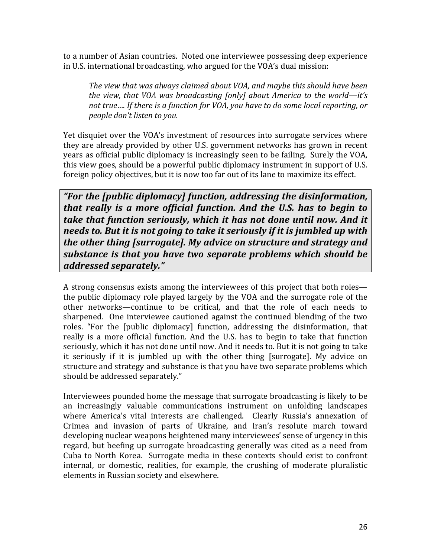to a number of Asian countries. Noted one interviewee possessing deep experience in U.S. international broadcasting, who argued for the VOA's dual mission:

The view that was always claimed about VOA, and maybe this should have been *the view, that VOA was broadcasting [only] about America to the world—it's* not true.... If there is a function for VOA, you have to do some local reporting, or *people don't listen to you.* 

Yet disquiet over the VOA's investment of resources into surrogate services where they are already provided by other U.S. government networks has grown in recent years as official public diplomacy is increasingly seen to be failing. Surely the VOA, this view goes, should be a powerful public diplomacy instrument in support of U.S. foreign policy objectives, but it is now too far out of its lane to maximize its effect.

*"For the [public diplomacy] function, addressing the disinformation, that really is a more official function. And the U.S. has to begin to take that function seriously, which it has not done until now. And it needs to. But it is not going to take it seriously if it is jumbled up with the other thing [surrogate]. My advice on structure and strategy and* substance is that you have two separate problems which should be *addressed separately."*

A strong consensus exists among the interviewees of this project that both roles the public diplomacy role played largely by the VOA and the surrogate role of the other networks—continue to be critical, and that the role of each needs to sharpened. One interviewee cautioned against the continued blending of the two roles. "For the [public diplomacy] function, addressing the disinformation, that really is a more official function. And the U.S. has to begin to take that function seriously, which it has not done until now. And it needs to. But it is not going to take it seriously if it is jumbled up with the other thing [surrogate]. My advice on structure and strategy and substance is that you have two separate problems which should be addressed separately."

Interviewees pounded home the message that surrogate broadcasting is likely to be an increasingly valuable communications instrument on unfolding landscapes where America's vital interests are challenged. Clearly Russia's annexation of Crimea and invasion of parts of Ukraine, and Iran's resolute march toward developing nuclear weapons heightened many interviewees' sense of urgency in this regard, but beefing up surrogate broadcasting generally was cited as a need from Cuba to North Korea. Surrogate media in these contexts should exist to confront internal, or domestic, realities, for example, the crushing of moderate pluralistic elements in Russian society and elsewhere.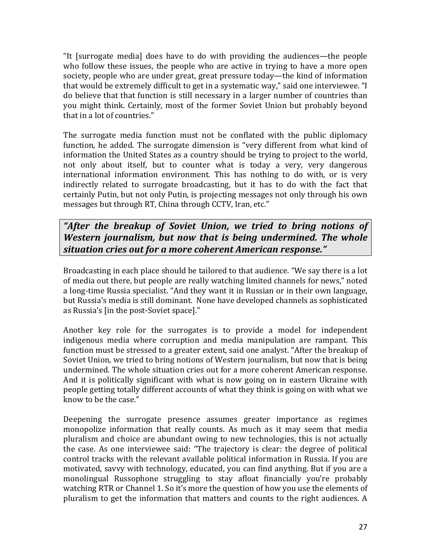"It  $\lceil$  [surrogate media] does have to do with providing the audiences—the people who follow these issues, the people who are active in trying to have a more open society, people who are under great, great pressure today—the kind of information that would be extremely difficult to get in a systematic way," said one interviewee. "I do believe that that function is still necessary in a larger number of countries than you might think. Certainly, most of the former Soviet Union but probably beyond that in a lot of countries."

The surrogate media function must not be conflated with the public diplomacy function, he added. The surrogate dimension is "very different from what kind of information the United States as a country should be trying to project to the world, not only about itself, but to counter what is today a very, very dangerous international information environment. This has nothing to do with, or is very indirectly related to surrogate broadcasting, but it has to do with the fact that certainly Putin, but not only Putin, is projecting messages not only through his own messages but through RT, China through CCTV, Iran, etc."

"After the breakup of Soviet Union, we tried to bring notions of *Western journalism, but now that is being undermined. The whole situation cries out for a more coherent American response."*

Broadcasting in each place should be tailored to that audience. "We say there is a lot of media out there, but people are really watching limited channels for news," noted a long-time Russia specialist. "And they want it in Russian or in their own language, but Russia's media is still dominant. None have developed channels as sophisticated as Russia's [in the post-Soviet space]."

Another key role for the surrogates is to provide a model for independent indigenous media where corruption and media manipulation are rampant. This function must be stressed to a greater extent, said one analyst. "After the breakup of Soviet Union, we tried to bring notions of Western journalism, but now that is being undermined. The whole situation cries out for a more coherent American response. And it is politically significant with what is now going on in eastern Ukraine with people getting totally different accounts of what they think is going on with what we know to be the case."

Deepening the surrogate presence assumes greater importance as regimes monopolize information that really counts. As much as it may seem that media pluralism and choice are abundant owing to new technologies, this is not actually the case. As one interviewee said: "The trajectory is clear: the degree of political control tracks with the relevant available political information in Russia. If you are motivated, savvy with technology, educated, you can find anything. But if you are a monolingual Russophone struggling to stay afloat financially you're probably watching RTR or Channel 1. So it's more the question of how you use the elements of pluralism to get the information that matters and counts to the right audiences. A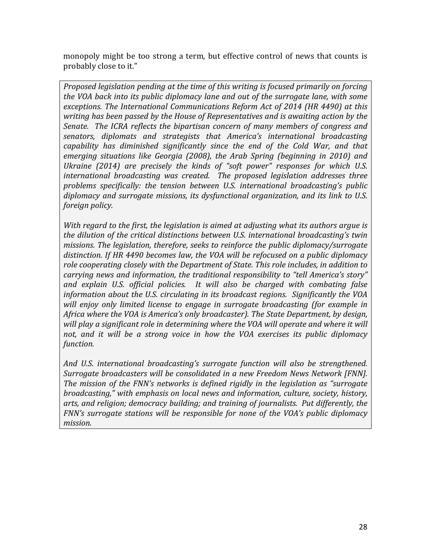monopoly might be too strong a term, but effective control of news that counts is probably close to it."

*Proposed legislation pending at the time of this writing is focused primarily on forcing the VOA back into its public diplomacy lane and out of the surrogate lane, with some* exceptions. The International Communications Reform Act of 2014 (HR 4490) at this *writing has been passed by the House of Representatives and is awaiting action by the Senate.* The ICRA reflects the bipartisan concern of many members of congress and senators, diplomats and strategists that America's international broadcasting capability has diminished significantly since the end of the Cold War, and that emerging situations like Georgia (2008), the Arab Spring (beginning in 2010) and *Ukraine (2014)* are precisely the kinds of "soft power" responses for which U.S. *international broadcasting was created. The proposed legislation addresses three* problems specifically: the tension between U.S. international broadcasting's public diplomacy and surrogate missions, its dysfunctional organization, and its link to U.S. *foreign policy.* 

*With* regard to the first, the legislation is aimed at adjusting what its authors argue is *the dilution of the critical distinctions between U.S. international broadcasting's twin missions. The legislation, therefore, seeks to reinforce the public diplomacy/surrogate* distinction. If HR 4490 becomes law, the VOA will be refocused on a public diplomacy role cooperating closely with the Department of State. This role includes, in addition to carrying news and information, the traditional responsibility to "tell America's story" and explain U.S. official policies. It will also be charged with combating false *information about the U.S. circulating in its broadcast regions. Significantly the VOA* will enjoy only limited license to engage in surrogate broadcasting (for example in *Africa* where the *VOA* is *America's* only broadcaster). The State Department, by design, *will* play a significant role in determining where the VOA will operate and where it will not, and it will be a strong voice in how the VOA exercises its public diplomacy *function.*

And U.S. international broadcasting's surrogate function will also be strengthened. *Surrogate broadcasters will be consolidated in a new Freedom News Network [FNN]. The mission of the FNN's networks is defined rigidly in the legislation as "surrogate broadcasting,"* with emphasis on local news and information, culture, society, history, arts, and religion; democracy building; and training of journalists. Put differently, the *FNN's* surrogate stations will be responsible for none of the VOA's public diplomacy *mission.*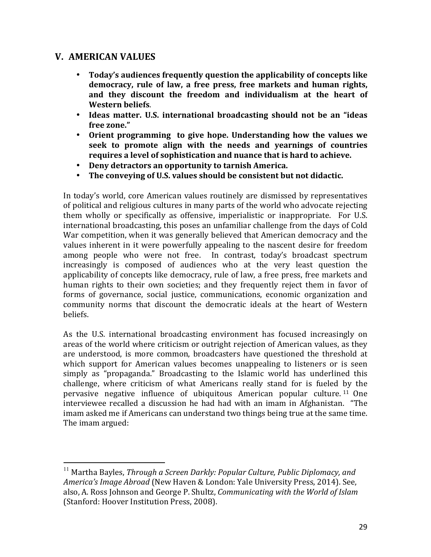### **V. AMERICAN VALUES**

 

- Today's audiences frequently question the applicability of concepts like democracy, rule of law, a free press, free markets and human rights, and they discount the freedom and individualism at the heart of **Western beliefs**.
- Ideas matter. U.S. international broadcasting should not be an "ideas **free zone."**
- Orient programming to give hope. Understanding how the values we seek to promote align with the needs and yearnings of countries requires a level of sophistication and nuance that is hard to achieve.
- Deny detractors an opportunity to tarnish America.
- The conveying of U.S. values should be consistent but not didactic.

In today's world, core American values routinely are dismissed by representatives of political and religious cultures in many parts of the world who advocate rejecting them wholly or specifically as offensive, imperialistic or inappropriate. For U.S. international broadcasting, this poses an unfamiliar challenge from the days of Cold War competition, when it was generally believed that American democracy and the values inherent in it were powerfully appealing to the nascent desire for freedom among people who were not free. In contrast, today's broadcast spectrum increasingly is composed of audiences who at the very least question the applicability of concepts like democracy, rule of law, a free press, free markets and human rights to their own societies; and they frequently reject them in favor of forms of governance, social justice, communications, economic organization and community norms that discount the democratic ideals at the heart of Western beliefs.

As the U.S. international broadcasting environment has focused increasingly on areas of the world where criticism or outright rejection of American values, as they are understood, is more common, broadcasters have questioned the threshold at which support for American values becomes unappealing to listeners or is seen simply as "propaganda." Broadcasting to the Islamic world has underlined this challenge, where criticism of what Americans really stand for is fueled by the pervasive negative influence of ubiquitous American popular culture.  $11$  One interviewee recalled a discussion he had had with an imam in Afghanistan. "The imam asked me if Americans can understand two things being true at the same time. The imam argued:

<sup>&</sup>lt;sup>11</sup> Martha Bayles, *Through a Screen Darkly: Popular Culture, Public Diplomacy, and America's Image Abroad* (New Haven & London: Yale University Press, 2014). See, also, A. Ross Johnson and George P. Shultz, *Communicating with the World of Islam* (Stanford: Hoover Institution Press, 2008).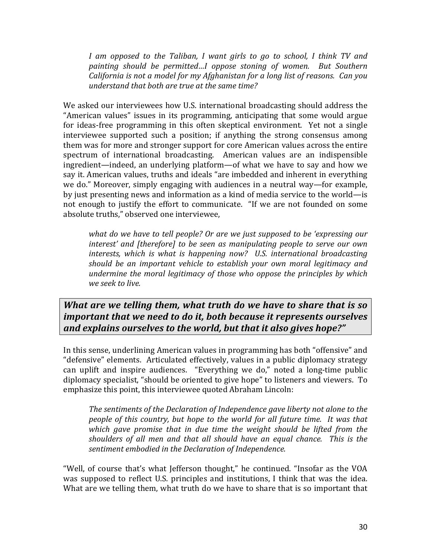*I* am opposed to the Taliban, *I* want girls to go to school, *I* think TV and painting should be permitted...I oppose stoning of women. But Southern *California is not a model for my Afghanistan for a long list of reasons. Can you understand that both are true at the same time?* 

We asked our interviewees how U.S. international broadcasting should address the "American values" issues in its programming, anticipating that some would argue for ideas-free programming in this often skeptical environment. Yet not a single interviewee supported such a position; if anything the strong consensus among them was for more and stronger support for core American values across the entire spectrum of international broadcasting. American values are an indispensible ingredient—indeed, an underlying platform—of what we have to say and how we say it. American values, truths and ideals "are imbedded and inherent in everything we do." Moreover, simply engaging with audiences in a neutral way—for example, by just presenting news and information as a kind of media service to the world—is not enough to justify the effort to communicate. "If we are not founded on some absolute truths," observed one interviewee,

*what do we have to tell people? Or are we just supposed to be 'expressing our interest'* and [therefore] to be seen as manipulating people to serve our own *interests, which is what is happening now? U.S. international broadcasting should be an important vehicle to establish your own moral legitimacy and undermine the moral legitimacy of those who oppose the principles by which we seek to live.* 

*What are we telling them, what truth do we have to share that is so important that we need to do it, both because it represents ourselves and explains ourselves to the world, but that it also gives hope?"* 

In this sense, underlining American values in programming has both "offensive" and "defensive" elements. Articulated effectively, values in a public diplomacy strategy can uplift and inspire audiences. "Everything we do," noted a long-time public diplomacy specialist, "should be oriented to give hope" to listeners and viewers. To emphasize this point, this interviewee quoted Abraham Lincoln:

The sentiments of the Declaration of Independence gave liberty not alone to the *people of this country, but hope to the world for all future time. It was that* which gave promise that in due time the weight should be lifted from the *shoulders of all men and that all should have an equal chance. This is the* sentiment embodied in the Declaration of Independence.

"Well, of course that's what Jefferson thought," he continued. "Insofar as the VOA was supposed to reflect U.S. principles and institutions, I think that was the idea. What are we telling them, what truth do we have to share that is so important that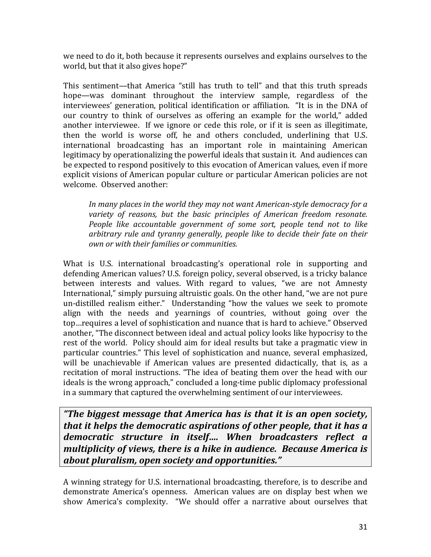we need to do it, both because it represents ourselves and explains ourselves to the world, but that it also gives hope?"

This sentiment—that America "still has truth to tell" and that this truth spreads hope—was dominant throughout the interview sample, regardless of the interviewees' generation, political identification or affiliation. "It is in the DNA of our country to think of ourselves as offering an example for the world," added another interviewee. If we ignore or cede this role, or if it is seen as illegitimate, then the world is worse off, he and others concluded, underlining that U.S. international broadcasting has an important role in maintaining American legitimacy by operationalizing the powerful ideals that sustain it. And audiences can be expected to respond positively to this evocation of American values, even if more explicit visions of American popular culture or particular American policies are not welcome. Observed another:

In many places in the world they may not want American-style democracy for a variety of reasons, but the basic principles of American freedom resonate. *People like accountable government of some sort, people tend not to like* arbitrary rule and tyranny generally, people like to decide their fate on their *own or with their families or communities.*

What is U.S. international broadcasting's operational role in supporting and defending American values? U.S. foreign policy, several observed, is a tricky balance between interests and values. With regard to values, "we are not Amnesty International," simply pursuing altruistic goals. On the other hand, "we are not pure un-distilled realism either." Understanding "how the values we seek to promote align with the needs and yearnings of countries, without going over the top…requires a level of sophistication and nuance that is hard to achieve." Observed another, "The disconnect between ideal and actual policy looks like hypocrisy to the rest of the world. Policy should aim for ideal results but take a pragmatic view in particular countries." This level of sophistication and nuance, several emphasized, will be unachievable if American values are presented didactically, that is, as a recitation of moral instructions. "The idea of beating them over the head with our ideals is the wrong approach," concluded a long-time public diplomacy professional in a summary that captured the overwhelming sentiment of our interviewees.

*"The biggest message that America has is that it is an open society, that it helps the democratic aspirations of other people, that it has a democratic structure in itself.... When broadcasters reflect a multiplicity of views, there is a hike in audience. Because America is about pluralism, open society and opportunities."*

A winning strategy for U.S. international broadcasting, therefore, is to describe and demonstrate America's openness. American values are on display best when we show America's complexity. "We should offer a narrative about ourselves that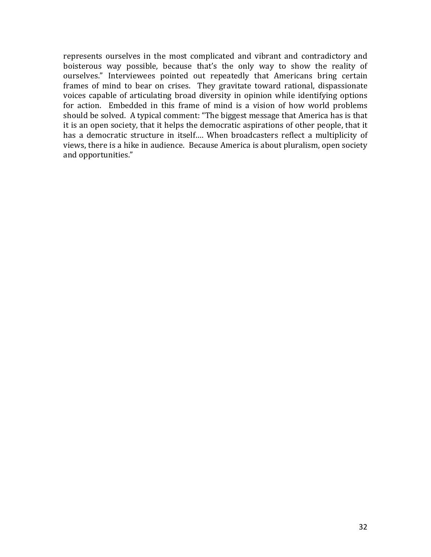represents ourselves in the most complicated and vibrant and contradictory and boisterous way possible, because that's the only way to show the reality of ourselves." Interviewees pointed out repeatedly that Americans bring certain frames of mind to bear on crises. They gravitate toward rational, dispassionate voices capable of articulating broad diversity in opinion while identifying options for action. Embedded in this frame of mind is a vision of how world problems should be solved. A typical comment: "The biggest message that America has is that it is an open society, that it helps the democratic aspirations of other people, that it has a democratic structure in itself.... When broadcasters reflect a multiplicity of views, there is a hike in audience. Because America is about pluralism, open society and opportunities."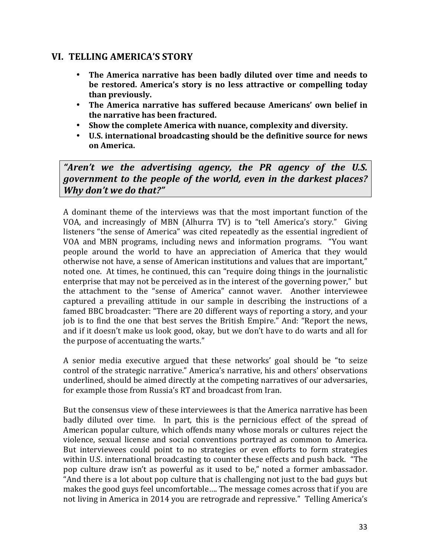### **VI. TELLING AMERICA'S STORY**

- The America narrative has been badly diluted over time and needs to be restored. America's story is no less attractive or compelling today **than previously.**
- The America narrative has suffered because Americans' own belief in **the narrative has been fractured.**
- Show the complete America with nuance, complexity and diversity.
- U.S. international broadcasting should be the definitive source for news **on America.**

"Aren't we the advertising agency, the PR agency of the U.S. *government to the people of the world, even in the darkest places? Why don't we do that?"*

A dominant theme of the interviews was that the most important function of the VOA, and increasingly of MBN (Alhurra TV) is to "tell America's story." Giving listeners "the sense of America" was cited repeatedly as the essential ingredient of VOA and MBN programs, including news and information programs. "You want people around the world to have an appreciation of America that they would otherwise not have, a sense of American institutions and values that are important," noted one. At times, he continued, this can "require doing things in the journalistic enterprise that may not be perceived as in the interest of the governing power," but the attachment to the "sense of America" cannot waver. Another interviewee captured a prevailing attitude in our sample in describing the instructions of a famed BBC broadcaster: "There are 20 different ways of reporting a story, and your job is to find the one that best serves the British Empire." And: "Report the news, and if it doesn't make us look good, okay, but we don't have to do warts and all for the purpose of accentuating the warts."

A senior media executive argued that these networks' goal should be "to seize control of the strategic narrative." America's narrative, his and others' observations underlined, should be aimed directly at the competing narratives of our adversaries, for example those from Russia's RT and broadcast from Iran.

But the consensus view of these interviewees is that the America narrative has been badly diluted over time. In part, this is the pernicious effect of the spread of American popular culture, which offends many whose morals or cultures reject the violence, sexual license and social conventions portrayed as common to America. But interviewees could point to no strategies or even efforts to form strategies within U.S. international broadcasting to counter these effects and push back. "The pop culture draw isn't as powerful as it used to be," noted a former ambassador. "And there is a lot about pop culture that is challenging not just to the bad guys but makes the good guys feel uncomfortable.... The message comes across that if you are not living in America in 2014 you are retrograde and repressive." Telling America's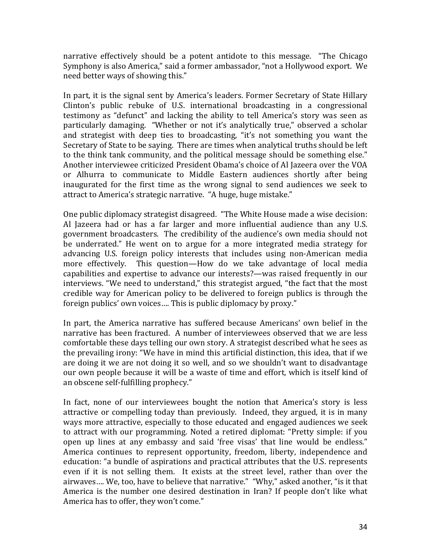narrative effectively should be a potent antidote to this message. "The Chicago Symphony is also America," said a former ambassador, "not a Hollywood export. We need better ways of showing this."

In part, it is the signal sent by America's leaders. Former Secretary of State Hillary Clinton's public rebuke of U.S. international broadcasting in a congressional testimony as "defunct" and lacking the ability to tell America's story was seen as particularly damaging. "Whether or not it's analytically true," observed a scholar and strategist with deep ties to broadcasting, "it's not something you want the Secretary of State to be saying. There are times when analytical truths should be left to the think tank community, and the political message should be something else." Another interviewee criticized President Obama's choice of Al Jazeera over the VOA or Alhurra to communicate to Middle Eastern audiences shortly after being inaugurated for the first time as the wrong signal to send audiences we seek to attract to America's strategic narrative. "A huge, huge mistake."

One public diplomacy strategist disagreed. "The White House made a wise decision: Al Jazeera had or has a far larger and more influential audience than any U.S. government broadcasters. The credibility of the audience's own media should not be underrated." He went on to argue for a more integrated media strategy for advancing U.S. foreign policy interests that includes using non-American media more effectively. This question—How do we take advantage of local media capabilities and expertise to advance our interests?—was raised frequently in our interviews. "We need to understand," this strategist argued, "the fact that the most credible way for American policy to be delivered to foreign publics is through the foreign publics' own voices.... This is public diplomacy by proxy."

In part, the America narrative has suffered because Americans' own belief in the narrative has been fractured. A number of interviewees observed that we are less comfortable these days telling our own story. A strategist described what he sees as the prevailing irony: "We have in mind this artificial distinction, this idea, that if we are doing it we are not doing it so well, and so we shouldn't want to disadvantage our own people because it will be a waste of time and effort, which is itself kind of an obscene self-fulfilling prophecy."

In fact, none of our interviewees bought the notion that America's story is less attractive or compelling today than previously. Indeed, they argued, it is in many ways more attractive, especially to those educated and engaged audiences we seek to attract with our programming. Noted a retired diplomat: "Pretty simple: if you open up lines at any embassy and said 'free visas' that line would be endless." America continues to represent opportunity, freedom, liberty, independence and education: "a bundle of aspirations and practical attributes that the U.S. represents even if it is not selling them. It exists at the street level, rather than over the airwaves.... We, too, have to believe that narrative." "Why," asked another, "is it that America is the number one desired destination in Iran? If people don't like what America has to offer, they won't come."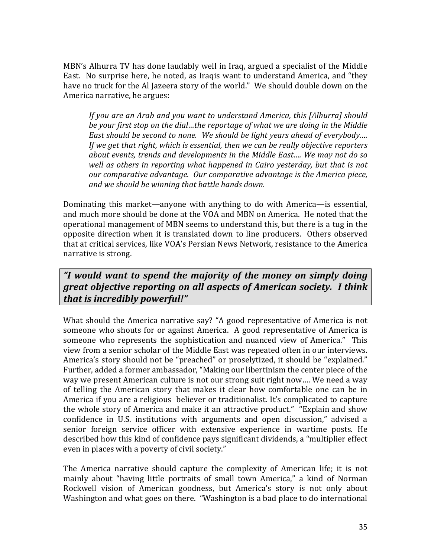MBN's Alhurra TV has done laudably well in Iraq, argued a specialist of the Middle East. No surprise here, he noted, as Iraqis want to understand America, and "they have no truck for the Al Jazeera story of the world." We should double down on the America narrative, he argues:

*If you are an Arab and you want to understand America, this [Alhurra] should be your first stop on the dial...the reportage of what we are doing in the Middle East should be second to none. We should be light years ahead of everybody.... If* we get that right, which is essential, then we can be really objective reporters about events, trends and developments in the Middle East.... We may not do so *well as others in reporting what happened in Cairo yesterday, but that is not <i>our* comparative advantage. Our comparative advantage is the America piece, *and we should be winning that battle hands down.*

Dominating this market—anyone with anything to do with America—is essential, and much more should be done at the VOA and MBN on America. He noted that the operational management of MBN seems to understand this, but there is a tug in the opposite direction when it is translated down to line producers. Others observed that at critical services, like VOA's Persian News Network, resistance to the America narrative is strong.

*"I would want to spend the majority of the money on simply doing great objective reporting on all aspects of American society. I think that is incredibly powerful!"* 

What should the America narrative say? "A good representative of America is not someone who shouts for or against America. A good representative of America is someone who represents the sophistication and nuanced view of America." This view from a senior scholar of the Middle East was repeated often in our interviews. America's story should not be "preached" or proselytized, it should be "explained." Further, added a former ambassador, "Making our libertinism the center piece of the way we present American culture is not our strong suit right now.... We need a way of telling the American story that makes it clear how comfortable one can be in America if you are a religious believer or traditionalist. It's complicated to capture the whole story of America and make it an attractive product." "Explain and show confidence in U.S. institutions with arguments and open discussion," advised a senior foreign service officer with extensive experience in wartime posts. He described how this kind of confidence pays significant dividends, a "multiplier effect even in places with a poverty of civil society."

The America narrative should capture the complexity of American life; it is not mainly about "having little portraits of small town America," a kind of Norman Rockwell vision of American goodness, but America's story is not only about Washington and what goes on there. "Washington is a bad place to do international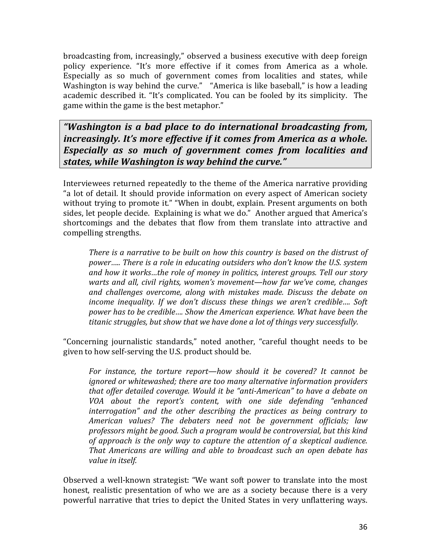broadcasting from, increasingly," observed a business executive with deep foreign policy experience. "It's more effective if it comes from America as a whole. Especially as so much of government comes from localities and states, while Washington is way behind the curve." "America is like baseball," is how a leading academic described it. "It's complicated. You can be fooled by its simplicity. The game within the game is the best metaphor."

*"Washington is a bad place to do international broadcasting from, increasingly. It's more effective if it comes from America as a whole.* **Especially** as so much of government comes from localities and *states, while Washington is way behind the curve."* 

Interviewees returned repeatedly to the theme of the America narrative providing "a lot of detail. It should provide information on every aspect of American society without trying to promote it." "When in doubt, explain. Present arguments on both sides, let people decide. Explaining is what we do." Another argued that America's shortcomings and the debates that flow from them translate into attractive and compelling strengths.

*There is a narrative to be built on how this country is based on the distrust of* power…... There is a role in educating outsiders who don't know the U.S. system and how it works...the role of money in politics, interest groups. Tell our story *warts and all, civil rights, women's movement—how far we've come, changes and challenges overcome, along with mistakes made. Discuss the debate on income inequality. If we don't discuss these things we aren't credible.... Soft power has to be credible.... Show the American experience. What have been the* titanic struggles, but show that we have done a lot of things very successfully.

"Concerning journalistic standards," noted another, "careful thought needs to be given to how self-serving the U.S. product should be.

For instance, the torture report—how should it be covered? It cannot be *ignored or whitewashed; there are too many alternative information providers that offer detailed coverage. Would it be "anti-American" to have a debate on VOA about the report's content, with one side defending "enhanced interrogation*" and the other describing the practices as being contrary to *American values? The debaters need not be government officials; law*  professors might be good. Such a program would be controversial, but this kind of approach is the only way to capture the attention of a skeptical audience. *That Americans are willing and able to broadcast such an open debate has* value in itself.

Observed a well-known strategist: "We want soft power to translate into the most honest, realistic presentation of who we are as a society because there is a very powerful narrative that tries to depict the United States in very unflattering ways.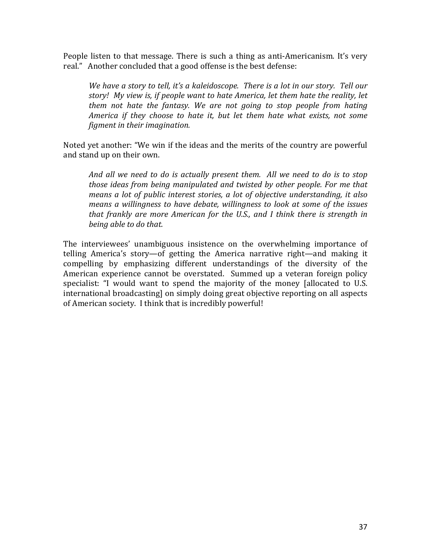People listen to that message. There is such a thing as anti-Americanism. It's very real." Another concluded that a good offense is the best defense:

*We have a story to tell, it's a kaleidoscope. There is a lot in our story. Tell our story!* My view is, if people want to hate America, let them hate the reality, let *them not hate the fantasy. We are not going to stop people from hating America if they choose to hate it, but let them hate what exists, not some figment in their imagination.* 

Noted yet another: "We win if the ideas and the merits of the country are powerful and stand up on their own.

And all we need to do is actually present them. All we need to do is to stop *those ideas from being manipulated and twisted by other people. For me that means a lot of public interest stories, a lot of objective understanding, it also means a willingness to have debate, willingness to look at some of the issues that frankly are more American for the U.S., and I think there is strength in being able to do that.*

The interviewees' unambiguous insistence on the overwhelming importance of telling America's story—of getting the America narrative right—and making it compelling by emphasizing different understandings of the diversity of the American experience cannot be overstated. Summed up a veteran foreign policy specialist: "I would want to spend the majority of the money [allocated to U.S. international broadcasting] on simply doing great objective reporting on all aspects of American society. I think that is incredibly powerful!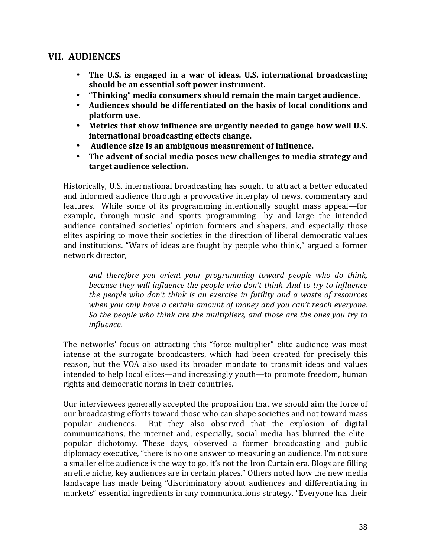### **VII. AUDIENCES**

- The U.S. is engaged in a war of ideas. U.S. international broadcasting should be an essential soft power instrument.
- "Thinking" media consumers should remain the main target audience.
- Audiences should be differentiated on the basis of local conditions and **platform use.**
- Metrics that show influence are urgently needed to gauge how well U.S. **international broadcasting effects change.**
- Audience size is an ambiguous measurement of influence.
- The advent of social media poses new challenges to media strategy and **target audience selection.**

Historically, U.S. international broadcasting has sought to attract a better educated and informed audience through a provocative interplay of news, commentary and features. While some of its programming intentionally sought mass appeal—for example, through music and sports programming—by and large the intended audience contained societies' opinion formers and shapers, and especially those elites aspiring to move their societies in the direction of liberal democratic values and institutions. "Wars of ideas are fought by people who think," argued a former network director,

and therefore you orient your programming toward people who do think, *because they will influence the people who don't think. And to try to influence the people who don't think is an exercise in futility and a waste of resources* when you only have a certain amount of money and you can't reach everyone. *So* the people who think are the multipliers, and those are the ones you try to *influence.*

The networks' focus on attracting this "force multiplier" elite audience was most intense at the surrogate broadcasters, which had been created for precisely this reason, but the VOA also used its broader mandate to transmit ideas and values intended to help local elites—and increasingly youth—to promote freedom, human rights and democratic norms in their countries.

Our interviewees generally accepted the proposition that we should aim the force of our broadcasting efforts toward those who can shape societies and not toward mass popular audiences. But they also observed that the explosion of digital communications, the internet and, especially, social media has blurred the elitepopular dichotomy. These days, observed a former broadcasting and public diplomacy executive, "there is no one answer to measuring an audience. I'm not sure a smaller elite audience is the way to go, it's not the Iron Curtain era. Blogs are filling an elite niche, key audiences are in certain places." Others noted how the new media landscape has made being "discriminatory about audiences and differentiating in markets" essential ingredients in any communications strategy. "Everyone has their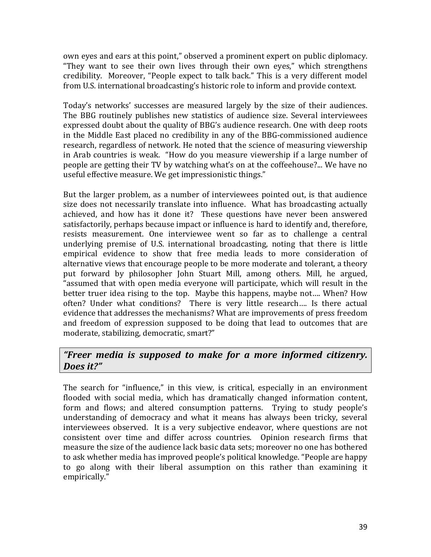own eyes and ears at this point," observed a prominent expert on public diplomacy. "They want to see their own lives through their own eyes," which strengthens credibility. Moreover, "People expect to talk back." This is a very different model from U.S. international broadcasting's historic role to inform and provide context.

Today's networks' successes are measured largely by the size of their audiences. The BBG routinely publishes new statistics of audience size. Several interviewees expressed doubt about the quality of BBG's audience research. One with deep roots in the Middle East placed no credibility in any of the BBG-commissioned audience research, regardless of network. He noted that the science of measuring viewership in Arab countries is weak. "How do you measure viewership if a large number of people are getting their TV by watching what's on at the coffeehouse?... We have no useful effective measure. We get impressionistic things."

But the larger problem, as a number of interviewees pointed out, is that audience size does not necessarily translate into influence. What has broadcasting actually achieved, and how has it done it? These questions have never been answered satisfactorily, perhaps because impact or influence is hard to identify and, therefore, resists measurement. One interviewee went so far as to challenge a central underlying premise of U.S. international broadcasting, noting that there is little empirical evidence to show that free media leads to more consideration of alternative views that encourage people to be more moderate and tolerant, a theory put forward by philosopher John Stuart Mill, among others. Mill, he argued, "assumed that with open media everyone will participate, which will result in the better truer idea rising to the top. Maybe this happens, maybe not.... When? How often? Under what conditions? There is very little research.... Is there actual evidence that addresses the mechanisms? What are improvements of press freedom and freedom of expression supposed to be doing that lead to outcomes that are moderate, stabilizing, democratic, smart?"

### *"Freer media is supposed to make for a more informed citizenry. Does it?"*

The search for "influence," in this view, is critical, especially in an environment flooded with social media, which has dramatically changed information content, form and flows; and altered consumption patterns. Trying to study people's understanding of democracy and what it means has always been tricky, several interviewees observed. It is a very subjective endeavor, where questions are not consistent over time and differ across countries. Opinion research firms that measure the size of the audience lack basic data sets; moreover no one has bothered to ask whether media has improved people's political knowledge. "People are happy to go along with their liberal assumption on this rather than examining it empirically."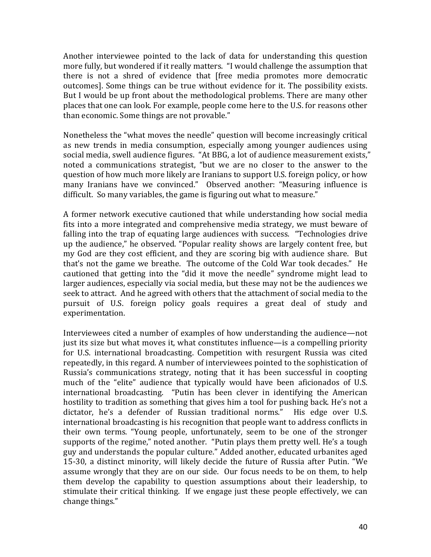Another interviewee pointed to the lack of data for understanding this question more fully, but wondered if it really matters. "I would challenge the assumption that there is not a shred of evidence that [free media promotes more democratic outcomes]. Some things can be true without evidence for it. The possibility exists. But I would be up front about the methodological problems. There are many other places that one can look. For example, people come here to the U.S. for reasons other than economic. Some things are not provable."

Nonetheless the "what moves the needle" question will become increasingly critical as new trends in media consumption, especially among younger audiences using social media, swell audience figures. "At BBG, a lot of audience measurement exists," noted a communications strategist, "but we are no closer to the answer to the question of how much more likely are Iranians to support U.S. foreign policy, or how many Iranians have we convinced." Observed another: "Measuring influence is difficult. So many variables, the game is figuring out what to measure."

A former network executive cautioned that while understanding how social media fits into a more integrated and comprehensive media strategy, we must beware of falling into the trap of equating large audiences with success. "Technologies drive up the audience," he observed. "Popular reality shows are largely content free, but my God are they cost efficient, and they are scoring big with audience share. But that's not the game we breathe. The outcome of the Cold War took decades." He cautioned that getting into the "did it move the needle" syndrome might lead to larger audiences, especially via social media, but these may not be the audiences we seek to attract. And he agreed with others that the attachment of social media to the pursuit of U.S. foreign policy goals requires a great deal of study and experimentation. 

Interviewees cited a number of examples of how understanding the audience—not just its size but what moves it, what constitutes influence—is a compelling priority for U.S. international broadcasting. Competition with resurgent Russia was cited repeatedly, in this regard. A number of interviewees pointed to the sophistication of Russia's communications strategy, noting that it has been successful in coopting much of the "elite" audience that typically would have been aficionados of U.S. international broadcasting. "Putin has been clever in identifying the American hostility to tradition as something that gives him a tool for pushing back. He's not a dictator, he's a defender of Russian traditional norms." His edge over U.S. international broadcasting is his recognition that people want to address conflicts in their own terms. "Young people, unfortunately, seem to be one of the stronger supports of the regime," noted another. "Putin plays them pretty well. He's a tough guy and understands the popular culture." Added another, educated urbanites aged 15-30, a distinct minority, will likely decide the future of Russia after Putin. "We assume wrongly that they are on our side. Our focus needs to be on them, to help them develop the capability to question assumptions about their leadership, to stimulate their critical thinking. If we engage just these people effectively, we can change things."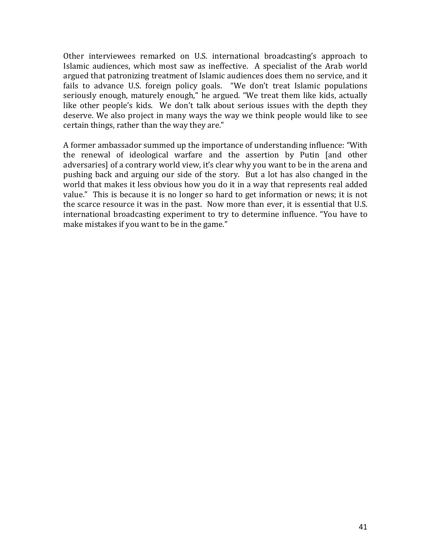Other interviewees remarked on U.S. international broadcasting's approach to Islamic audiences, which most saw as ineffective. A specialist of the Arab world argued that patronizing treatment of Islamic audiences does them no service, and it fails to advance U.S. foreign policy goals. "We don't treat Islamic populations seriously enough, maturely enough," he argued. "We treat them like kids, actually like other people's kids. We don't talk about serious issues with the depth they deserve. We also project in many ways the way we think people would like to see certain things, rather than the way they are."

A former ambassador summed up the importance of understanding influence: "With the renewal of ideological warfare and the assertion by Putin [and other adversaries] of a contrary world view, it's clear why you want to be in the arena and pushing back and arguing our side of the story. But a lot has also changed in the world that makes it less obvious how you do it in a way that represents real added value." This is because it is no longer so hard to get information or news; it is not the scarce resource it was in the past. Now more than ever, it is essential that U.S. international broadcasting experiment to try to determine influence. "You have to make mistakes if you want to be in the game."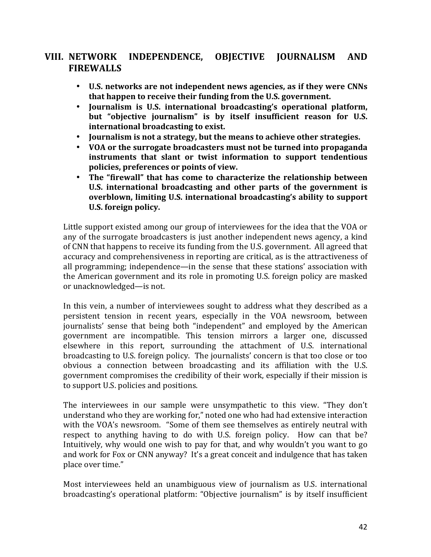# **VIII. NETWORK INDEPENDENCE, OBJECTIVE JOURNALISM AND FIREWALLS**

- U.S. networks are not independent news agencies, as if they were CNNs **that happen to receive their funding from the U.S. government.**
- Journalism is U.S. international broadcasting's operational platform, but "objective journalism" is by itself insufficient reason for U.S. international broadcasting to exist.
- **Journalism is not a strategy, but the means to achieve other strategies.**
- VOA or the surrogate broadcasters must not be turned into propaganda **instruments** that slant or twist information to support tendentious **policies, preferences or points of view.**
- The "firewall" that has come to characterize the relationship between U.S. international broadcasting and other parts of the government is **overblown, limiting U.S. international broadcasting's ability to support** U.S. foreign policy.

Little support existed among our group of interviewees for the idea that the VOA or any of the surrogate broadcasters is just another independent news agency, a kind of CNN that happens to receive its funding from the U.S. government. All agreed that accuracy and comprehensiveness in reporting are critical, as is the attractiveness of all programming; independence—in the sense that these stations' association with the American government and its role in promoting U.S. foreign policy are masked or unacknowledged—is not.

In this vein, a number of interviewees sought to address what they described as a persistent tension in recent years, especially in the VOA newsroom, between journalists' sense that being both "independent" and employed by the American government are incompatible. This tension mirrors a larger one, discussed elsewhere in this report, surrounding the attachment of U.S. international broadcasting to U.S. foreign policy. The journalists' concern is that too close or too obvious a connection between broadcasting and its affiliation with the U.S. government compromises the credibility of their work, especially if their mission is to support U.S. policies and positions.

The interviewees in our sample were unsympathetic to this view. "They don't understand who they are working for," noted one who had had extensive interaction with the VOA's newsroom. "Some of them see themselves as entirely neutral with respect to anything having to do with U.S. foreign policy. How can that be? Intuitively, why would one wish to pay for that, and why wouldn't you want to go and work for Fox or CNN anyway? It's a great conceit and indulgence that has taken place over time."

Most interviewees held an unambiguous view of journalism as U.S. international broadcasting's operational platform: "Objective journalism" is by itself insufficient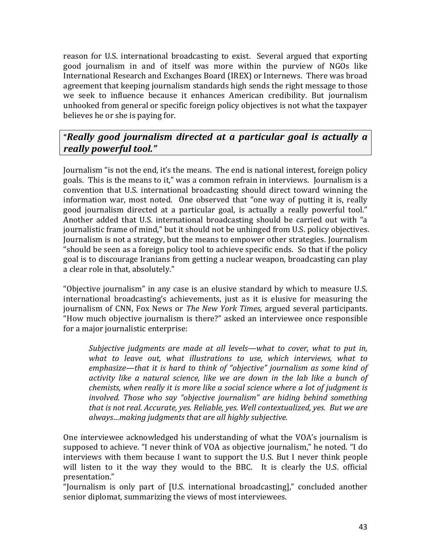reason for U.S. international broadcasting to exist. Several argued that exporting good journalism in and of itself was more within the purview of NGOs like International Research and Exchanges Board (IREX) or Internews. There was broad agreement that keeping journalism standards high sends the right message to those we seek to influence because it enhances American credibility. But journalism unhooked from general or specific foreign policy objectives is not what the taxpayer believes he or she is paying for.

# **"***Really good journalism directed at a particular goal is actually a really powerful tool."*

Journalism "is not the end, it's the means. The end is national interest, foreign policy goals. This is the means to it," was a common refrain in interviews. Journalism is a convention that U.S. international broadcasting should direct toward winning the information war, most noted. One observed that "one way of putting it is, really good journalism directed at a particular goal, is actually a really powerful tool." Another added that U.S. international broadcasting should be carried out with "a journalistic frame of mind," but it should not be unhinged from U.S. policy objectives. Journalism is not a strategy, but the means to empower other strategies. Journalism "should be seen as a foreign policy tool to achieve specific ends. So that if the policy goal is to discourage Iranians from getting a nuclear weapon, broadcasting can play a clear role in that, absolutely."

"Objective journalism" in any case is an elusive standard by which to measure U.S. international broadcasting's achievements, just as it is elusive for measuring the journalism of CNN, Fox News or *The New York Times*, argued several participants. "How much objective journalism is there?" asked an interviewee once responsible for a major journalistic enterprise:

*Subjective judgments are made at all levels—what to cover, what to put in,* what to leave out, what *illustrations* to use, which interviews, what to *emphasize—that it is hard to think of "objective" journalism as some kind of* activity like a natural science, like we are down in the lab like a bunch of *chemists, when really it is more like a social science where a lot of judgment is involved.* Those who say "objective journalism" are hiding behind something *that is not real. Accurate, yes. Reliable, yes. Well contextualized, yes. But we are* always...making judgments that are all highly subjective.

One interviewee acknowledged his understanding of what the VOA's journalism is supposed to achieve. "I never think of VOA as objective journalism," he noted. "I do interviews with them because I want to support the U.S. But I never think people will listen to it the way they would to the BBC. It is clearly the U.S. official presentation." 

"Iournalism is only part of [U.S. international broadcasting]," concluded another senior diplomat, summarizing the views of most interviewees.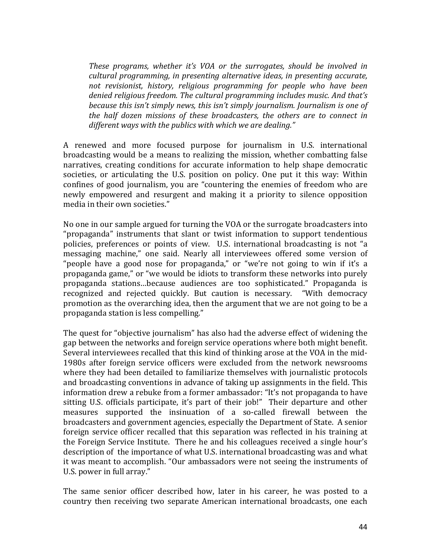*These programs, whether it's VOA or the surrogates, should be involved in cultural programming, in presenting alternative ideas, in presenting accurate,* not revisionist, history, religious programming for people who have been denied religious freedom. The cultural programming includes music. And that's *because this isn't simply news, this isn't simply journalism. Journalism is one of the half dozen missions of these broadcasters, the others are to connect in different ways with the publics with which we are dealing."* 

A renewed and more focused purpose for journalism in U.S. international broadcasting would be a means to realizing the mission, whether combatting false narratives, creating conditions for accurate information to help shape democratic societies, or articulating the U.S. position on policy. One put it this way: Within confines of good journalism, you are "countering the enemies of freedom who are newly empowered and resurgent and making it a priority to silence opposition media in their own societies."

No one in our sample argued for turning the VOA or the surrogate broadcasters into "propaganda" instruments that slant or twist information to support tendentious policies, preferences or points of view. U.S. international broadcasting is not "a messaging machine," one said. Nearly all interviewees offered some version of "people have a good nose for propaganda," or "we're not going to win if it's a propaganda game," or "we would be idiots to transform these networks into purely propaganda stations…because audiences are too sophisticated." Propaganda is recognized and rejected quickly. But caution is necessary. "With democracy promotion as the overarching idea, then the argument that we are not going to be a propaganda station is less compelling."

The quest for "objective journalism" has also had the adverse effect of widening the gap between the networks and foreign service operations where both might benefit. Several interviewees recalled that this kind of thinking arose at the VOA in the mid-1980s after foreign service officers were excluded from the network newsrooms where they had been detailed to familiarize themselves with journalistic protocols and broadcasting conventions in advance of taking up assignments in the field. This information drew a rebuke from a former ambassador: "It's not propaganda to have sitting U.S. officials participate, it's part of their job!" Their departure and other measures supported the insinuation of a so-called firewall between the broadcasters and government agencies, especially the Department of State. A senior foreign service officer recalled that this separation was reflected in his training at the Foreign Service Institute. There he and his colleagues received a single hour's description of the importance of what U.S. international broadcasting was and what it was meant to accomplish. "Our ambassadors were not seeing the instruments of U.S. power in full array."

The same senior officer described how, later in his career, he was posted to a country then receiving two separate American international broadcasts, one each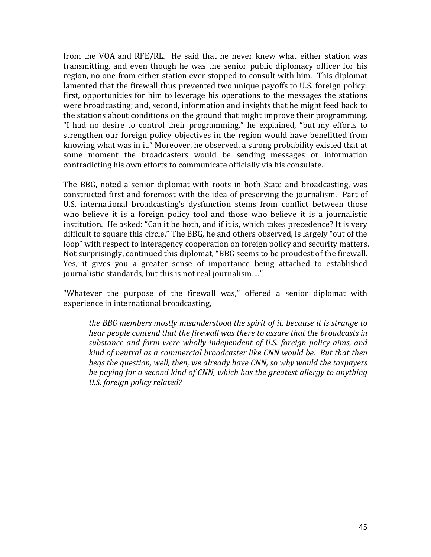from the VOA and RFE/RL. He said that he never knew what either station was transmitting, and even though he was the senior public diplomacy officer for his region, no one from either station ever stopped to consult with him. This diplomat lamented that the firewall thus prevented two unique payoffs to U.S. foreign policy: first, opportunities for him to leverage his operations to the messages the stations were broadcasting; and, second, information and insights that he might feed back to the stations about conditions on the ground that might improve their programming. "I had no desire to control their programming," he explained, "but my efforts to strengthen our foreign policy objectives in the region would have benefitted from knowing what was in it." Moreover, he observed, a strong probability existed that at some moment the broadcasters would be sending messages or information contradicting his own efforts to communicate officially via his consulate.

The BBG, noted a senior diplomat with roots in both State and broadcasting, was constructed first and foremost with the idea of preserving the journalism. Part of U.S. international broadcasting's dysfunction stems from conflict between those who believe it is a foreign policy tool and those who believe it is a journalistic institution. He asked: "Can it be both, and if it is, which takes precedence? It is very difficult to square this circle." The BBG, he and others observed, is largely "out of the loop" with respect to interagency cooperation on foreign policy and security matters. Not surprisingly, continued this diplomat, "BBG seems to be proudest of the firewall. Yes, it gives you a greater sense of importance being attached to established journalistic standards, but this is not real journalism...."

"Whatever the purpose of the firewall was," offered a senior diplomat with experience in international broadcasting,

*the BBG members mostly misunderstood the spirit of it, because it is strange to hear* people contend that the firewall was there to assure that the broadcasts in substance and form were wholly independent of U.S. foreign policy aims, and *kind* of neutral as a commercial broadcaster like CNN would be. But that then *begs* the question, well, then, we already have CNN, so why would the taxpayers be paying for a second kind of CNN, which has the greatest allergy to anything *U.S. foreign policy related?*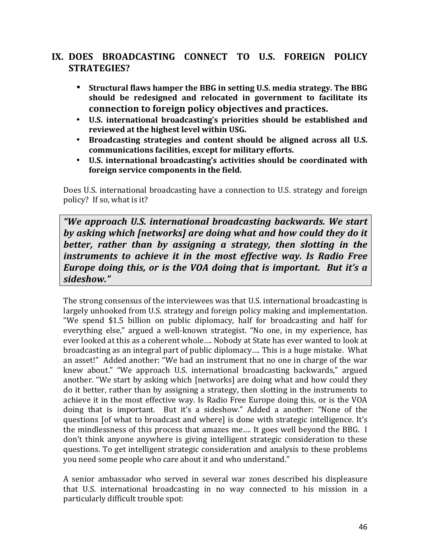# **IX. DOES BROADCASTING CONNECT TO U.S. FOREIGN POLICY STRATEGIES?**

- **Structural flaws hamper the BBG in setting U.S. media strategy. The BBG** should be redesigned and relocated in government to facilitate its **connection to foreign policy objectives and practices.**
- **U.S. international broadcasting's priorities should be established and**  reviewed at the highest level within USG.
- Broadcasting strategies and content should be aligned across all U.S. communications facilities, except for military efforts.
- U.S. international broadcasting's activities should be coordinated with foreign service components in the field.

Does U.S. international broadcasting have a connection to U.S. strategy and foreign policy? If so, what is it?

*"We approach U.S. international broadcasting backwards. We start* by asking which [networks] are doing what and how could they do it *better, rather than by assigning a strategy, then slotting in the instruments to achieve it in the most effective way. Is Radio Free Europe doing this, or is the VOA doing that is important. But it's a sideshow."*

The strong consensus of the interviewees was that U.S. international broadcasting is largely unhooked from U.S. strategy and foreign policy making and implementation. "We spend \$1.5 billion on public diplomacy, half for broadcasting and half for everything else," argued a well-known strategist. "No one, in my experience, has ever looked at this as a coherent whole.... Nobody at State has ever wanted to look at broadcasting as an integral part of public diplomacy.... This is a huge mistake. What an asset!" Added another: "We had an instrument that no one in charge of the war knew about." "We approach U.S. international broadcasting backwards," argued another. "We start by asking which [networks] are doing what and how could they do it better, rather than by assigning a strategy, then slotting in the instruments to achieve it in the most effective way. Is Radio Free Europe doing this, or is the VOA doing that is important. But it's a sideshow." Added a another: "None of the questions [of what to broadcast and where] is done with strategic intelligence. It's the mindlessness of this process that amazes me.... It goes well beyond the BBG. I don't think anyone anywhere is giving intelligent strategic consideration to these questions. To get intelligent strategic consideration and analysis to these problems you need some people who care about it and who understand."

A senior ambassador who served in several war zones described his displeasure that U.S. international broadcasting in no way connected to his mission in a particularly difficult trouble spot: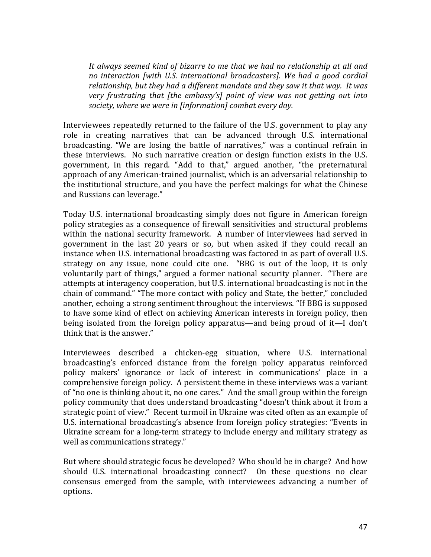It always seemed kind of bizarre to me that we had no relationship at all and *no* interaction [with U.S. international broadcasters]. We had a good cordial relationship, but they had a different mandate and they saw it that way. It was *very* frustrating that [the embassy's] point of view was not getting out into society, where we were in [information] combat every day.

Interviewees repeatedly returned to the failure of the U.S. government to play any role in creating narratives that can be advanced through U.S. international broadcasting. "We are losing the battle of narratives," was a continual refrain in these interviews. No such narrative creation or design function exists in the U.S. government, in this regard. "Add to that," argued another, "the preternatural approach of any American-trained journalist, which is an adversarial relationship to the institutional structure, and you have the perfect makings for what the Chinese and Russians can leverage."

Today U.S. international broadcasting simply does not figure in American foreign policy strategies as a consequence of firewall sensitivities and structural problems within the national security framework. A number of interviewees had served in government in the last 20 years or so, but when asked if they could recall an instance when U.S. international broadcasting was factored in as part of overall U.S. strategy on any issue, none could cite one. "BBG is out of the loop, it is only voluntarily part of things," argued a former national security planner. "There are attempts at interagency cooperation, but U.S. international broadcasting is not in the chain of command." "The more contact with policy and State, the better," concluded another, echoing a strong sentiment throughout the interviews. "If BBG is supposed to have some kind of effect on achieving American interests in foreign policy, then being isolated from the foreign policy apparatus—and being proud of it—I don't think that is the answer."

Interviewees described a chicken-egg situation, where U.S. international broadcasting's enforced distance from the foreign policy apparatus reinforced policy makers' ignorance or lack of interest in communications' place in a comprehensive foreign policy. A persistent theme in these interviews was a variant of "no one is thinking about it, no one cares." And the small group within the foreign policy community that does understand broadcasting "doesn't think about it from a strategic point of view." Recent turmoil in Ukraine was cited often as an example of U.S. international broadcasting's absence from foreign policy strategies: "Events in Ukraine scream for a long-term strategy to include energy and military strategy as well as communications strategy."

But where should strategic focus be developed? Who should be in charge? And how should U.S. international broadcasting connect? On these questions no clear consensus emerged from the sample, with interviewees advancing a number of options.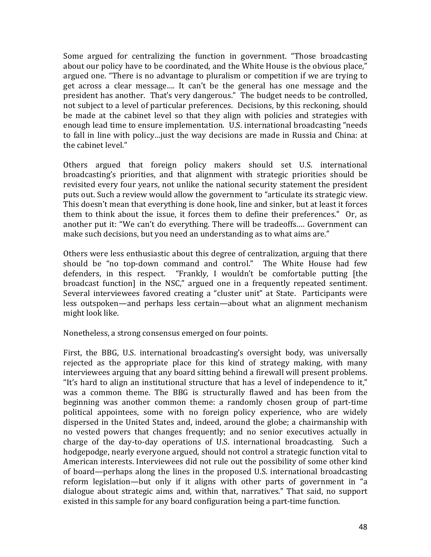Some argued for centralizing the function in government. "Those broadcasting about our policy have to be coordinated, and the White House is the obvious place," argued one. "There is no advantage to pluralism or competition if we are trying to get across a clear message.... It can't be the general has one message and the president has another. That's very dangerous." The budget needs to be controlled, not subject to a level of particular preferences. Decisions, by this reckoning, should be made at the cabinet level so that they align with policies and strategies with enough lead time to ensure implementation. U.S. international broadcasting "needs to fall in line with policy…just the way decisions are made in Russia and China: at the cabinet level."

Others argued that foreign policy makers should set U.S. international broadcasting's priorities, and that alignment with strategic priorities should be revisited every four years, not unlike the national security statement the president puts out. Such a review would allow the government to "articulate its strategic view. This doesn't mean that everything is done hook, line and sinker, but at least it forces them to think about the issue, it forces them to define their preferences." Or, as another put it: "We can't do everything. There will be tradeoffs.... Government can make such decisions, but you need an understanding as to what aims are."

Others were less enthusiastic about this degree of centralization, arguing that there should be "no top-down command and control." The White House had few defenders, in this respect. "Frankly, I wouldn't be comfortable putting [the broadcast function] in the NSC," argued one in a frequently repeated sentiment. Several interviewees favored creating a "cluster unit" at State. Participants were less outspoken—and perhaps less certain—about what an alignment mechanism might look like.

Nonetheless, a strong consensus emerged on four points.

First, the BBG, U.S. international broadcasting's oversight body, was universally rejected as the appropriate place for this kind of strategy making, with many interviewees arguing that any board sitting behind a firewall will present problems. "It's hard to align an institutional structure that has a level of independence to it," was a common theme. The BBG is structurally flawed and has been from the beginning was another common theme: a randomly chosen group of part-time political appointees, some with no foreign policy experience, who are widely dispersed in the United States and, indeed, around the globe; a chairmanship with no vested powers that changes frequently; and no senior executives actually in charge of the day-to-day operations of U.S. international broadcasting. Such a hodgepodge, nearly everyone argued, should not control a strategic function vital to American interests. Interviewees did not rule out the possibility of some other kind of board—perhaps along the lines in the proposed U.S. international broadcasting reform legislation—but only if it aligns with other parts of government in "a dialogue about strategic aims and, within that, narratives." That said, no support existed in this sample for any board configuration being a part-time function.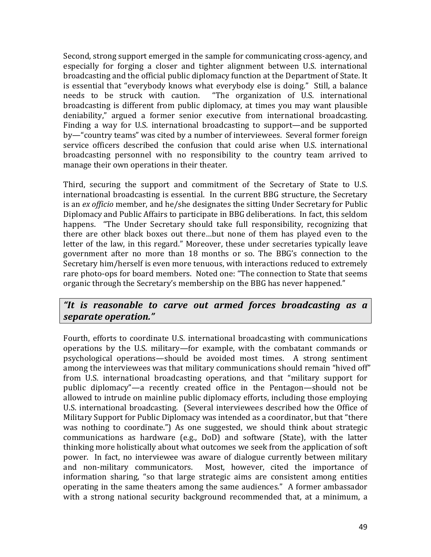Second, strong support emerged in the sample for communicating cross-agency, and especially for forging a closer and tighter alignment between U.S. international broadcasting and the official public diplomacy function at the Department of State. It is essential that "everybody knows what everybody else is doing." Still, a balance needs to be struck with caution. "The organization of U.S. international broadcasting is different from public diplomacy, at times you may want plausible deniability," argued a former senior executive from international broadcasting. Finding a way for U.S. international broadcasting to support—and be supported by—"country teams" was cited by a number of interviewees. Several former foreign service officers described the confusion that could arise when U.S. international broadcasting personnel with no responsibility to the country team arrived to manage their own operations in their theater.

Third, securing the support and commitment of the Secretary of State to U.S. international broadcasting is essential. In the current BBG structure, the Secretary is an *ex officio* member, and he/she designates the sitting Under Secretary for Public Diplomacy and Public Affairs to participate in BBG deliberations. In fact, this seldom happens. "The Under Secretary should take full responsibility, recognizing that there are other black boxes out there...but none of them has played even to the letter of the law, in this regard." Moreover, these under secretaries typically leave government after no more than 18 months or so. The BBG's connection to the Secretary him/herself is even more tenuous, with interactions reduced to extremely rare photo-ops for board members. Noted one: "The connection to State that seems organic through the Secretary's membership on the BBG has never happened."

### *"It is reasonable to carve out armed forces broadcasting as a separate operation."*

Fourth, efforts to coordinate U.S. international broadcasting with communications operations by the U.S. military—for example, with the combatant commands or psychological operations—should be avoided most times. A strong sentiment among the interviewees was that military communications should remain "hived off" from U.S. international broadcasting operations, and that "military support for public diplomacy"—a recently created office in the Pentagon—should not be allowed to intrude on mainline public diplomacy efforts, including those employing U.S. international broadcasting. (Several interviewees described how the Office of Military Support for Public Diplomacy was intended as a coordinator, but that "there was nothing to coordinate.") As one suggested, we should think about strategic communications as hardware (e.g., DoD) and software (State), with the latter thinking more holistically about what outcomes we seek from the application of soft power. In fact, no interviewee was aware of dialogue currently between military and non-military communicators. Most, however, cited the importance of information sharing, "so that large strategic aims are consistent among entities operating in the same theaters among the same audiences." A former ambassador with a strong national security background recommended that, at a minimum, a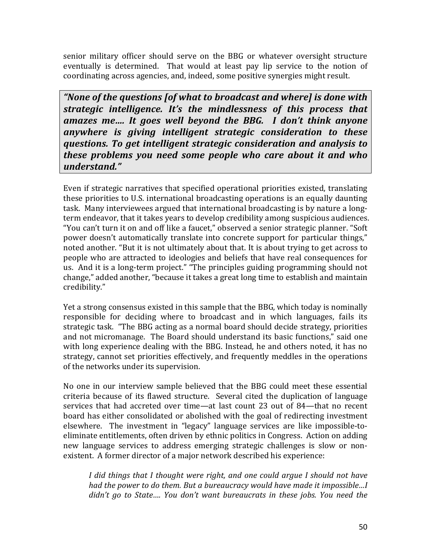senior military officer should serve on the BBG or whatever oversight structure eventually is determined. That would at least pay lip service to the notion of coordinating across agencies, and, indeed, some positive synergies might result.

"None of the questions [of what to broadcast and where] is done with *strategic intelligence. It's the mindlessness of this process that amazes me....* It goes well beyond the BBG. I don't think anyone *anywhere is giving intelligent strategic consideration to these duestions.* To get intelligent strategic consideration and analysis to *these problems you need some people who care about it and who understand."*

Even if strategic narratives that specified operational priorities existed, translating these priorities to U.S. international broadcasting operations is an equally daunting task. Many interviewees argued that international broadcasting is by nature a longterm endeavor, that it takes years to develop credibility among suspicious audiences. "You can't turn it on and off like a faucet," observed a senior strategic planner. "Soft power doesn't automatically translate into concrete support for particular things," noted another. "But it is not ultimately about that. It is about trying to get across to people who are attracted to ideologies and beliefs that have real consequences for us. And it is a long-term project." "The principles guiding programming should not change," added another, "because it takes a great long time to establish and maintain credibility."

Yet a strong consensus existed in this sample that the BBG, which today is nominally responsible for deciding where to broadcast and in which languages, fails its strategic task. "The BBG acting as a normal board should decide strategy, priorities and not micromanage. The Board should understand its basic functions," said one with long experience dealing with the BBG. Instead, he and others noted, it has no strategy, cannot set priorities effectively, and frequently meddles in the operations of the networks under its supervision.

No one in our interview sample believed that the BBG could meet these essential criteria because of its flawed structure. Several cited the duplication of language services that had accreted over time—at last count 23 out of 84—that no recent board has either consolidated or abolished with the goal of redirecting investment elsewhere. The investment in "legacy" language services are like impossible-toeliminate entitlements, often driven by ethnic politics in Congress. Action on adding new language services to address emerging strategic challenges is slow or nonexistent. A former director of a major network described his experience:

I did things that I thought were right, and one could argue I should not have *had* the power to do them. But a bureaucracy would have made it impossible...I *didn't go to State.... You don't want bureaucrats in these jobs. You need the*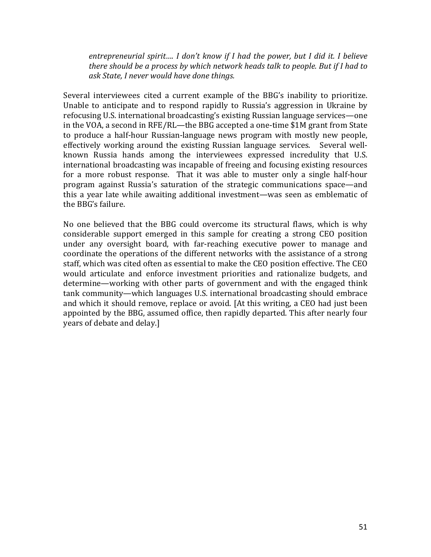entrepreneurial spirit.... I don't know if I had the power, but I did it. I believe *there should be a process by which network heads talk to people. But if I had to ask State, I never would have done things.*

Several interviewees cited a current example of the BBG's inability to prioritize. Unable to anticipate and to respond rapidly to Russia's aggression in Ukraine by refocusing U.S. international broadcasting's existing Russian language services—one in the VOA, a second in RFE/RL—the BBG accepted a one-time \$1M grant from State to produce a half-hour Russian-language news program with mostly new people, effectively working around the existing Russian language services. Several wellknown Russia hands among the interviewees expressed incredulity that U.S. international broadcasting was incapable of freeing and focusing existing resources for a more robust response. That it was able to muster only a single half-hour program against Russia's saturation of the strategic communications space—and this a year late while awaiting additional investment—was seen as emblematic of the BBG's failure.

No one believed that the BBG could overcome its structural flaws, which is why considerable support emerged in this sample for creating a strong CEO position under any oversight board, with far-reaching executive power to manage and coordinate the operations of the different networks with the assistance of a strong staff, which was cited often as essential to make the CEO position effective. The CEO would articulate and enforce investment priorities and rationalize budgets, and determine—working with other parts of government and with the engaged think tank community—which languages U.S. international broadcasting should embrace and which it should remove, replace or avoid. [At this writing, a CEO had just been appointed by the BBG, assumed office, then rapidly departed. This after nearly four years of debate and delay.]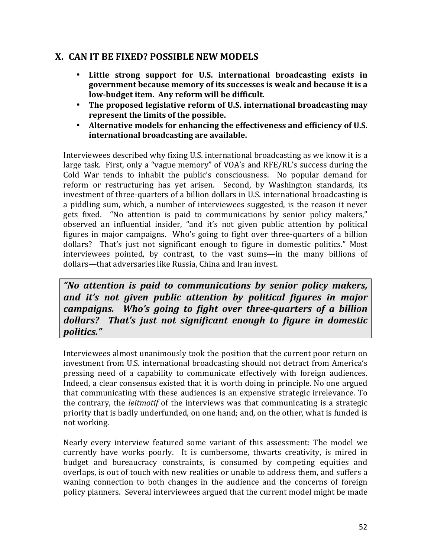# **X. CAN IT BE FIXED? POSSIBLE NEW MODELS**

- Little strong support for U.S. international broadcasting exists in **government because memory of its successes is weak and because it is a** low-budget item. Any reform will be difficult.
- The proposed legislative reform of U.S. international broadcasting may represent the limits of the possible.
- Alternative models for enhancing the effectiveness and efficiency of U.S. **international broadcasting are available.**

Interviewees described why fixing U.S. international broadcasting as we know it is a large task. First, only a "vague memory" of VOA's and RFE/RL's success during the Cold War tends to inhabit the public's consciousness. No popular demand for reform or restructuring has yet arisen. Second, by Washington standards, its investment of three-quarters of a billion dollars in U.S. international broadcasting is a piddling sum, which, a number of interviewees suggested, is the reason it never gets fixed. "No attention is paid to communications by senior policy makers," observed an influential insider, "and it's not given public attention by political figures in major campaigns. Who's going to fight over three-quarters of a billion dollars? That's just not significant enough to figure in domestic politics." Most interviewees pointed, by contrast, to the vast sums—in the many billions of dollars—that adversaries like Russia, China and Iran invest.

*"No attention is paid to communications by senior policy makers,*  and it's not given public attention by political figures in major *campaigns.* Who's going to fight over three-quarters of a billion dollars? That's just not significant enough to figure in domestic *politics."*

Interviewees almost unanimously took the position that the current poor return on investment from U.S. international broadcasting should not detract from America's pressing need of a capability to communicate effectively with foreign audiences. Indeed, a clear consensus existed that it is worth doing in principle. No one argued that communicating with these audiences is an expensive strategic irrelevance. To the contrary, the *leitmotif* of the interviews was that communicating is a strategic priority that is badly underfunded, on one hand; and, on the other, what is funded is not working.

Nearly every interview featured some variant of this assessment: The model we currently have works poorly. It is cumbersome, thwarts creativity, is mired in budget and bureaucracy constraints, is consumed by competing equities and overlaps, is out of touch with new realities or unable to address them, and suffers a waning connection to both changes in the audience and the concerns of foreign policy planners. Several interviewees argued that the current model might be made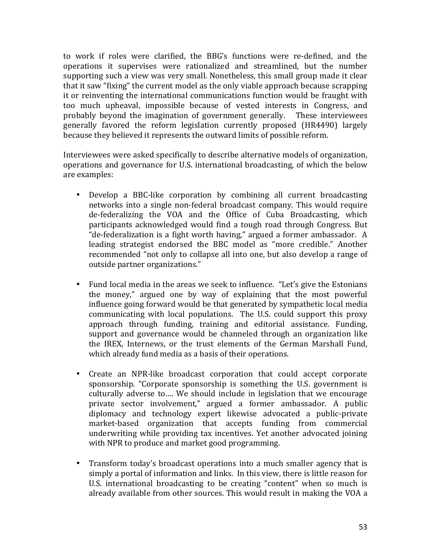to work if roles were clarified, the BBG's functions were re-defined, and the operations it supervises were rationalized and streamlined, but the number supporting such a view was very small. Nonetheless, this small group made it clear that it saw "fixing" the current model as the only viable approach because scrapping it or reinventing the international communications function would be fraught with too much upheaval, impossible because of vested interests in Congress, and probably beyond the imagination of government generally. These interviewees generally favored the reform legislation currently proposed (HR4490) largely because they believed it represents the outward limits of possible reform.

Interviewees were asked specifically to describe alternative models of organization, operations and governance for U.S. international broadcasting, of which the below are examples:

- Develop a BBC-like corporation by combining all current broadcasting networks into a single non-federal broadcast company. This would require de-federalizing the VOA and the Office of Cuba Broadcasting, which participants acknowledged would find a tough road through Congress. But "de-federalization is a fight worth having," argued a former ambassador. A leading strategist endorsed the BBC model as "more credible." Another recommended "not only to collapse all into one, but also develop a range of outside partner organizations."
- Fund local media in the areas we seek to influence. "Let's give the Estonians the money," argued one by way of explaining that the most powerful influence going forward would be that generated by sympathetic local media communicating with local populations. The U.S. could support this proxy approach through funding, training and editorial assistance. Funding, support and governance would be channeled through an organization like the IREX, Internews, or the trust elements of the German Marshall Fund, which already fund media as a basis of their operations.
- Create an NPR-like broadcast corporation that could accept corporate sponsorship. "Corporate sponsorship is something the U.S. government is culturally adverse to.... We should include in legislation that we encourage private sector involvement," argued a former ambassador. A public diplomacy and technology expert likewise advocated a public-private market-based organization that accepts funding from commercial underwriting while providing tax incentives. Yet another advocated joining with NPR to produce and market good programming.
- Transform today's broadcast operations into a much smaller agency that is simply a portal of information and links. In this view, there is little reason for U.S. international broadcasting to be creating "content" when so much is already available from other sources. This would result in making the VOA a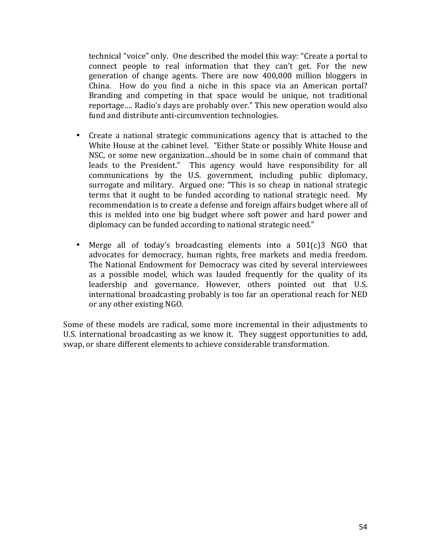technical "voice" only. One described the model this way: "Create a portal to connect people to real information that they can't get. For the new generation of change agents. There are now 400,000 million bloggers in China. How do you find a niche in this space via an American portal? Branding and competing in that space would be unique, not traditional reportage.... Radio's days are probably over." This new operation would also fund and distribute anti-circumvention technologies.

- Create a national strategic communications agency that is attached to the White House at the cabinet level. "Either State or possibly White House and NSC, or some new organization...should be in some chain of command that leads to the President." This agency would have responsibility for all communications by the U.S. government, including public diplomacy, surrogate and military. Argued one: "This is so cheap in national strategic terms that it ought to be funded according to national strategic need. My recommendation is to create a defense and foreign affairs budget where all of this is melded into one big budget where soft power and hard power and diplomacy can be funded according to national strategic need."
- Merge all of today's broadcasting elements into a 501(c)3 NGO that advocates for democracy, human rights, free markets and media freedom. The National Endowment for Democracy was cited by several interviewees as a possible model, which was lauded frequently for the quality of its leadership and governance. However, others pointed out that U.S. international broadcasting probably is too far an operational reach for NED or any other existing NGO.

Some of these models are radical, some more incremental in their adjustments to U.S. international broadcasting as we know it. They suggest opportunities to add, swap, or share different elements to achieve considerable transformation.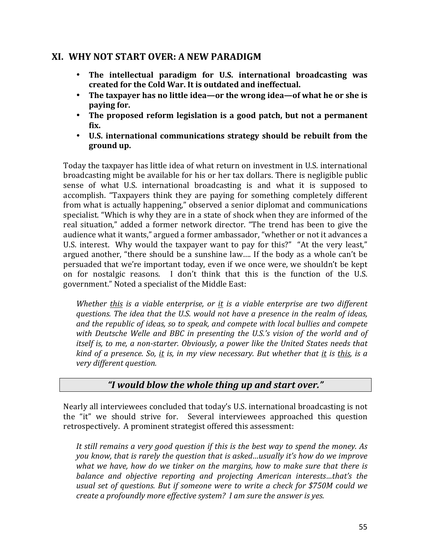### **XI. WHY NOT START OVER: A NEW PARADIGM**

- The intellectual paradigm for U.S. international broadcasting was created for the Cold War. It is outdated and ineffectual.
- The taxpayer has no little idea—or the wrong idea—of what he or she is **paying for.**
- The proposed reform legislation is a good patch, but not a permanent **fix.**
- **U.S. international communications strategy should be rebuilt from the ground up.**

Today the taxpayer has little idea of what return on investment in U.S. international broadcasting might be available for his or her tax dollars. There is negligible public sense of what U.S. international broadcasting is and what it is supposed to accomplish. "Taxpayers think they are paying for something completely different from what is actually happening," observed a senior diplomat and communications specialist. "Which is why they are in a state of shock when they are informed of the real situation," added a former network director. "The trend has been to give the audience what it wants," argued a former ambassador, "whether or not it advances a U.S. interest. Why would the taxpayer want to pay for this?" "At the very least," argued another, "there should be a sunshine law.... If the body as a whole can't be persuaded that we're important today, even if we once were, we shouldn't be kept on for nostalgic reasons. I don't think that this is the function of the U.S. government." Noted a specialist of the Middle East:

*Whether* this is a viable enterprise, or it is a viable enterprise are two different *questions. The idea that the U.S. would not have a presence in the realm of ideas,* and the republic of ideas, so to speak, and compete with local bullies and compete with Deutsche Welle and BBC in presenting the U.S.'s vision of the world and of *itself is, to me, a non-starter. Obviously, a power like the United States needs that kind* of a presence. So, it is, in my view necessary. But whether that it is this, is a *very different question.*

### *"I would blow the whole thing up and start over."*

Nearly all interviewees concluded that today's U.S. international broadcasting is not the "it" we should strive for. Several interviewees approached this question retrospectively. A prominent strategist offered this assessment:

It still remains a very good question if this is the best way to spend the money. As *you* know, that is rarely the question that is asked...usually it's how do we improve *what* we have, how do we tinker on the margins, how to make sure that there is *balance and objective reporting and projecting American interests...that's the* usual set of questions. But if someone were to write a check for \$750M could we *create a profoundly more effective system?* I am sure the answer is yes.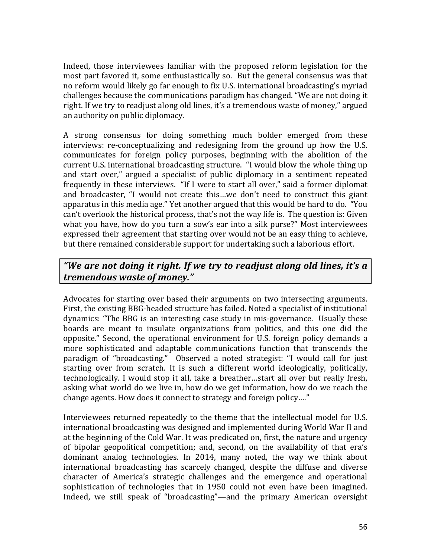Indeed, those interviewees familiar with the proposed reform legislation for the most part favored it, some enthusiastically so. But the general consensus was that no reform would likely go far enough to fix U.S. international broadcasting's myriad challenges because the communications paradigm has changed. "We are not doing it right. If we try to readjust along old lines, it's a tremendous waste of money," argued an authority on public diplomacy.

A strong consensus for doing something much bolder emerged from these interviews: re-conceptualizing and redesigning from the ground up how the U.S. communicates for foreign policy purposes, beginning with the abolition of the current U.S. international broadcasting structure. "I would blow the whole thing up and start over," argued a specialist of public diplomacy in a sentiment repeated frequently in these interviews. "If I were to start all over," said a former diplomat and broadcaster, "I would not create this...we don't need to construct this giant apparatus in this media age." Yet another argued that this would be hard to do. "You can't overlook the historical process, that's not the way life is. The question is: Given what you have, how do you turn a sow's ear into a silk purse?" Most interviewees expressed their agreement that starting over would not be an easy thing to achieve, but there remained considerable support for undertaking such a laborious effort.

# *"We are not doing it right. If we try to readjust along old lines, it's a tremendous waste of money."*

Advocates for starting over based their arguments on two intersecting arguments. First, the existing BBG-headed structure has failed. Noted a specialist of institutional dynamics: "The BBG is an interesting case study in mis-governance. Usually these boards are meant to insulate organizations from politics, and this one did the opposite." Second, the operational environment for U.S. foreign policy demands a more sophisticated and adaptable communications function that transcends the paradigm of "broadcasting." Observed a noted strategist: "I would call for just starting over from scratch. It is such a different world ideologically, politically, technologically. I would stop it all, take a breather...start all over but really fresh, asking what world do we live in, how do we get information, how do we reach the change agents. How does it connect to strategy and foreign policy...."

Interviewees returned repeatedly to the theme that the intellectual model for U.S. international broadcasting was designed and implemented during World War II and at the beginning of the Cold War. It was predicated on, first, the nature and urgency of bipolar geopolitical competition; and, second, on the availability of that era's dominant analog technologies. In 2014, many noted, the way we think about international broadcasting has scarcely changed, despite the diffuse and diverse character of America's strategic challenges and the emergence and operational sophistication of technologies that in 1950 could not even have been imagined. Indeed, we still speak of "broadcasting"—and the primary American oversight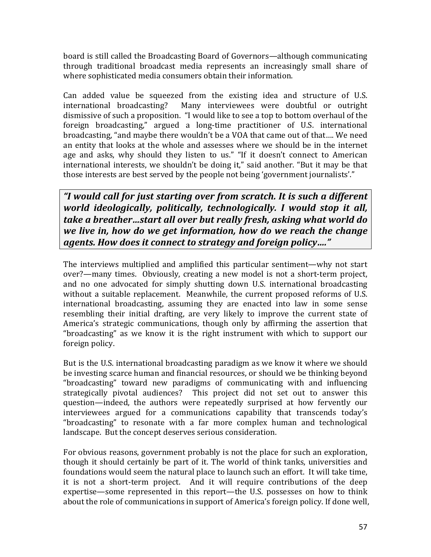board is still called the Broadcasting Board of Governors—although communicating through traditional broadcast media represents an increasingly small share of where sophisticated media consumers obtain their information.

Can added value be squeezed from the existing idea and structure of U.S. international broadcasting? Many interviewees were doubtful or outright dismissive of such a proposition. "I would like to see a top to bottom overhaul of the foreign broadcasting," argued a long-time practitioner of U.S. international broadcasting, "and maybe there wouldn't be a VOA that came out of that.... We need an entity that looks at the whole and assesses where we should be in the internet age and asks, why should they listen to us." "If it doesn't connect to American international interests, we shouldn't be doing it," said another. "But it may be that those interests are best served by the people not being 'government journalists'."

"I would call for just starting over from scratch. It is such a different *world ideologically, politically, technologically. I would stop it all, take a breather…start all over but really fresh, asking what world do we live in, how do we get information, how do we reach the change agents. How does it connect to strategy and foreign policy...."* 

The interviews multiplied and amplified this particular sentiment—why not start over?—many times. Obviously, creating a new model is not a short-term project, and no one advocated for simply shutting down U.S. international broadcasting without a suitable replacement. Meanwhile, the current proposed reforms of U.S. international broadcasting, assuming they are enacted into law in some sense resembling their initial drafting, are very likely to improve the current state of America's strategic communications, though only by affirming the assertion that "broadcasting" as we know it is the right instrument with which to support our foreign policy.

But is the U.S. international broadcasting paradigm as we know it where we should be investing scarce human and financial resources, or should we be thinking beyond "broadcasting" toward new paradigms of communicating with and influencing strategically pivotal audiences? This project did not set out to answer this question—indeed, the authors were repeatedly surprised at how fervently our interviewees argued for a communications capability that transcends today's "broadcasting" to resonate with a far more complex human and technological landscape. But the concept deserves serious consideration.

For obvious reasons, government probably is not the place for such an exploration, though it should certainly be part of it. The world of think tanks, universities and foundations would seem the natural place to launch such an effort. It will take time, it is not a short-term project. And it will require contributions of the deep expertise—some represented in this report—the U.S. possesses on how to think about the role of communications in support of America's foreign policy. If done well,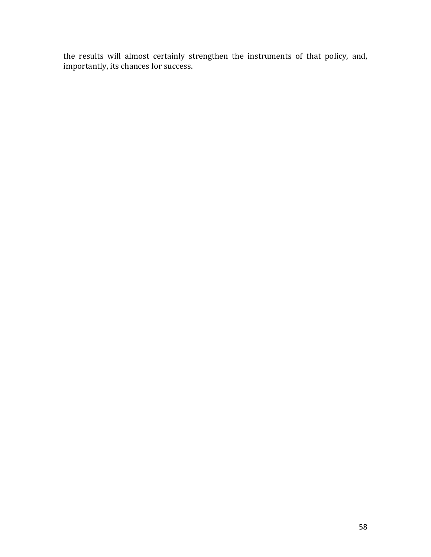the results will almost certainly strengthen the instruments of that policy, and, importantly, its chances for success.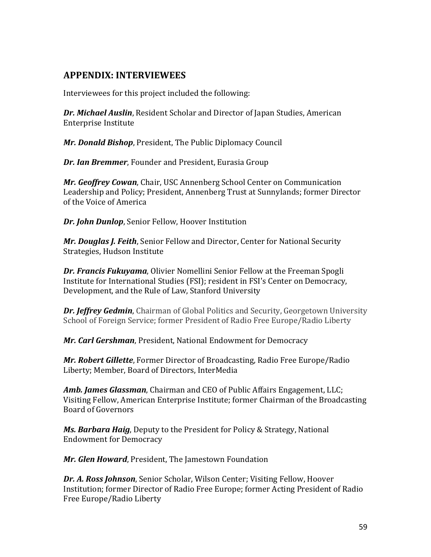# **APPENDIX: INTERVIEWEES**

Interviewees for this project included the following:

**Dr. Michael Auslin, Resident Scholar and Director of Japan Studies, American** Enterprise Institute 

*Mr. Donald Bishop, President, The Public Diplomacy Council* 

**Dr. Ian Bremmer**, Founder and President, Eurasia Group

Mr. Geoffrey Cowan, Chair, USC Annenberg School Center on Communication Leadership and Policy; President, Annenberg Trust at Sunnylands; former Director of the Voice of America

**Dr. John Dunlop, Senior Fellow, Hoover Institution** 

*Mr. Douglas J. Feith, Senior Fellow and Director, Center for National Security* Strategies, Hudson Institute

**Dr. Francis Fukuyama**, Olivier Nomellini Senior Fellow at the Freeman Spogli Institute for International Studies (FSI); resident in FSI's Center on Democracy, Development, and the Rule of Law, Stanford University

**Dr. Jeffrey Gedmin**, Chairman of Global Politics and Security, Georgetown University School of Foreign Service; former President of Radio Free Europe/Radio Liberty

Mr. Carl Gershman, President, National Endowment for Democracy

*Mr. Robert Gillette*, Former Director of Broadcasting, Radio Free Europe/Radio Liberty; Member, Board of Directors, InterMedia

**Amb. James Glassman**, Chairman and CEO of Public Affairs Engagement, LLC; Visiting Fellow, American Enterprise Institute; former Chairman of the Broadcasting Board of Governors

**Ms. Barbara Haig,** Deputy to the President for Policy & Strategy, National Endowment for Democracy

Mr. Glen Howard, President, The Jamestown Foundation

**Dr. A. Ross Johnson**, Senior Scholar, Wilson Center; Visiting Fellow, Hoover Institution; former Director of Radio Free Europe; former Acting President of Radio Free Europe/Radio Liberty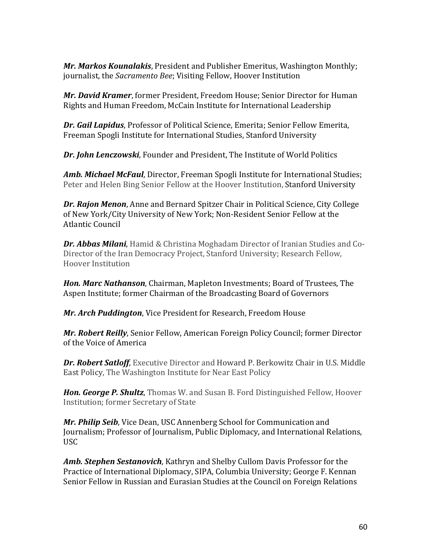*Mr. Markos Kounalakis*, President and Publisher Emeritus, Washington Monthly; journalist, the *Sacramento Bee*; Visiting Fellow, Hoover Institution

*Mr. David Kramer*, former President, Freedom House; Senior Director for Human Rights and Human Freedom, McCain Institute for International Leadership

**Dr. Gail Lapidus**, Professor of Political Science, Emerita; Senior Fellow Emerita, Freeman Spogli Institute for International Studies, Stanford University

**Dr.** John Lenczowski, Founder and President, The Institute of World Politics

**Amb. Michael McFaul**, Director, Freeman Spogli Institute for International Studies; Peter and Helen Bing Senior Fellow at the Hoover Institution, Stanford University

**Dr. Rajon Menon**, Anne and Bernard Spitzer Chair in Political Science, City College of New York/City University of New York; Non-Resident Senior Fellow at the Atlantic Council

**Dr. Abbas Milani**, Hamid & Christina Moghadam Director of Iranian Studies and Co-Director of the Iran Democracy Project, Stanford University; Research Fellow, Hoover Institution

**Hon. Marc Nathanson**, Chairman, Mapleton Investments; Board of Trustees, The Aspen Institute; former Chairman of the Broadcasting Board of Governors

Mr. Arch Puddington, Vice President for Research, Freedom House

**Mr. Robert Reilly**, Senior Fellow, American Foreign Policy Council; former Director of the Voice of America

**Dr. Robert Satloff**, Executive Director and Howard P. Berkowitz Chair in U.S. Middle East Policy, The Washington Institute for Near East Policy

**Hon. George P. Shultz**, Thomas W. and Susan B. Ford Distinguished Fellow, Hoover Institution; former Secretary of State

*Mr. Philip Seib*, Vice Dean, USC Annenberg School for Communication and Journalism; Professor of Journalism, Public Diplomacy, and International Relations, USC

**Amb. Stephen Sestanovich**, Kathryn and Shelby Cullom Davis Professor for the Practice of International Diplomacy, SIPA, Columbia University; George F. Kennan Senior Fellow in Russian and Eurasian Studies at the Council on Foreign Relations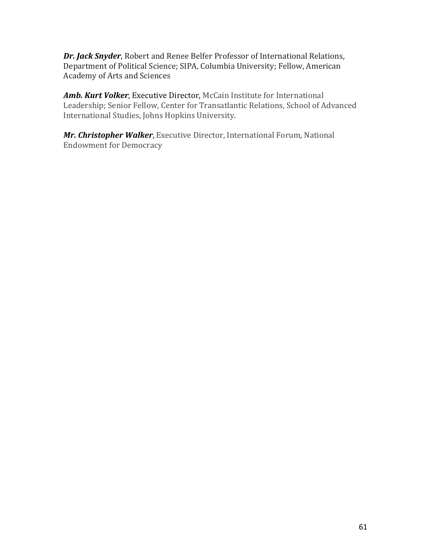**Dr. Jack Snyder**, Robert and Renee Belfer Professor of International Relations, Department of Political Science; SIPA, Columbia University; Fellow, American Academy of Arts and Sciences

Amb. Kurt Volker, Executive Director, McCain Institute for International Leadership; Senior Fellow, Center for Transatlantic Relations, School of Advanced International Studies, Johns Hopkins University.

*Mr. Christopher Walker*, Executive Director, International Forum, National Endowment for Democracy